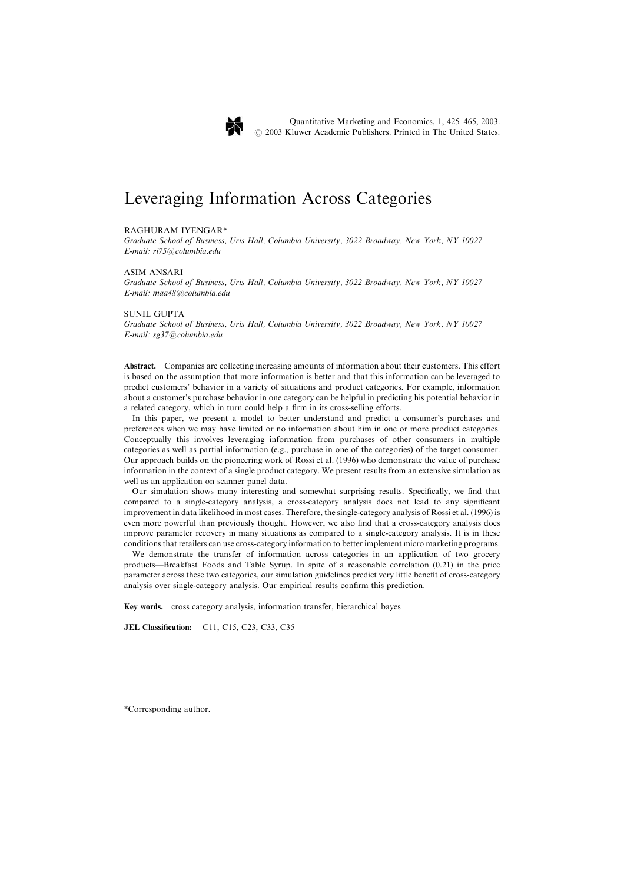Quantitative Marketing and Economics, 1, 425–465, 2003.  $\circled{2003}$  Kluwer Academic Publishers. Printed in The United States.

# Leveraging Information Across Categories

#### RAGHURAM IYENGAR\*

Graduate School of Business, Uris Hall, Columbia University, 3022 Broadway, New York, NY 10027 E-mail: ri75@columbia.edu

#### ASIM ANSARI

Graduate School of Business, Uris Hall, Columbia University, 3022 Broadway, New York, NY 10027 E-mail: maa48@columbia.edu

#### SUNIL GUPTA

Graduate School of Business, Uris Hall, Columbia University, 3022 Broadway, New York, NY 10027 E-mail: sg37@columbia.edu

Abstract. Companies are collecting increasing amounts of information about their customers. This effort is based on the assumption that more information is better and that this information can be leveraged to predict customers' behavior in a variety of situations and product categories. For example, information about a customer's purchase behavior in one category can be helpful in predicting his potential behavior in a related category, which in turn could help a firm in its cross-selling efforts.

In this paper, we present a model to better understand and predict a consumer's purchases and preferences when we may have limited or no information about him in one or more product categories. Conceptually this involves leveraging information from purchases of other consumers in multiple categories as well as partial information (e.g., purchase in one of the categories) of the target consumer. Our approach builds on the pioneering work of Rossi et al. (1996) who demonstrate the value of purchase information in the context of a single product category. We present results from an extensive simulation as well as an application on scanner panel data.

Our simulation shows many interesting and somewhat surprising results. Specifically, we find that compared to a single-category analysis, a cross-category analysis does not lead to any significant improvement in data likelihood in most cases. Therefore, the single-category analysis of Rossi et al. (1996) is even more powerful than previously thought. However, we also find that a cross-category analysis does improve parameter recovery in many situations as compared to a single-category analysis. It is in these conditions that retailers can use cross-category information to better implement micro marketing programs.

We demonstrate the transfer of information across categories in an application of two grocery products—Breakfast Foods and Table Syrup. In spite of a reasonable correlation (0.21) in the price parameter across these two categories, our simulation guidelines predict very little benefit of cross-category analysis over single-category analysis. Our empirical results confirm this prediction.

Key words. cross category analysis, information transfer, hierarchical bayes

JEL Classification: C11, C15, C23, C33, C35

\*Corresponding author.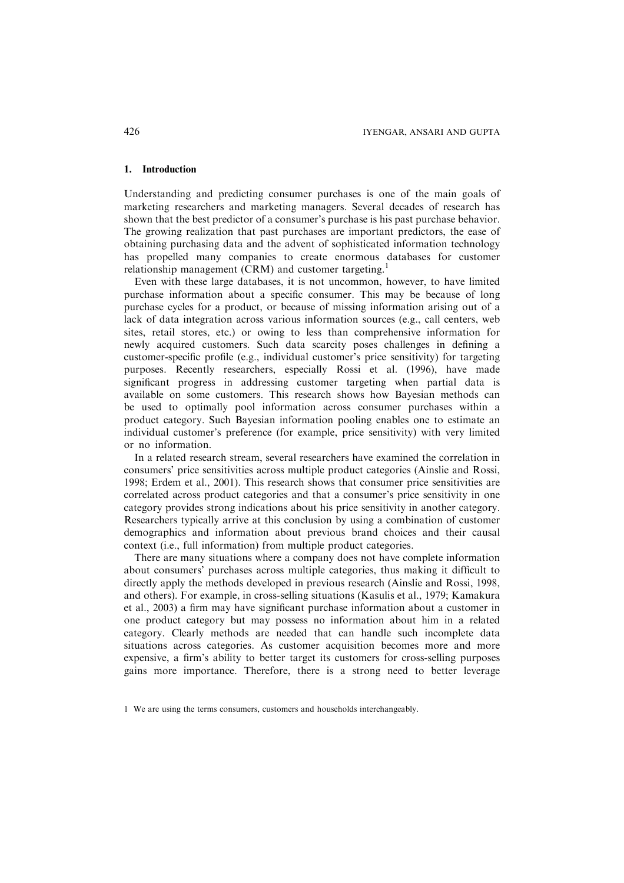#### 1. Introduction

Understanding and predicting consumer purchases is one of the main goals of marketing researchers and marketing managers. Several decades of research has shown that the best predictor of a consumer's purchase is his past purchase behavior. The growing realization that past purchases are important predictors, the ease of obtaining purchasing data and the advent of sophisticated information technology has propelled many companies to create enormous databases for customer relationship management (CRM) and customer targeting.<sup>1</sup>

Even with these large databases, it is not uncommon, however, to have limited purchase information about a specific consumer. This may be because of long purchase cycles for a product, or because of missing information arising out of a lack of data integration across various information sources (e.g., call centers, web sites, retail stores, etc.) or owing to less than comprehensive information for newly acquired customers. Such data scarcity poses challenges in defining a customer-specific profile (e.g., individual customer's price sensitivity) for targeting purposes. Recently researchers, especially Rossi et al. (1996), have made significant progress in addressing customer targeting when partial data is available on some customers. This research shows how Bayesian methods can be used to optimally pool information across consumer purchases within a product category. Such Bayesian information pooling enables one to estimate an individual customer's preference (for example, price sensitivity) with very limited or no information.

In a related research stream, several researchers have examined the correlation in consumers' price sensitivities across multiple product categories (Ainslie and Rossi, 1998; Erdem et al., 2001). This research shows that consumer price sensitivities are correlated across product categories and that a consumer's price sensitivity in one category provides strong indications about his price sensitivity in another category. Researchers typically arrive at this conclusion by using a combination of customer demographics and information about previous brand choices and their causal context (i.e., full information) from multiple product categories.

There are many situations where a company does not have complete information about consumers' purchases across multiple categories, thus making it difficult to directly apply the methods developed in previous research (Ainslie and Rossi, 1998, and others). For example, in cross-selling situations (Kasulis et al., 1979; Kamakura et al., 2003) a firm may have significant purchase information about a customer in one product category but may possess no information about him in a related category. Clearly methods are needed that can handle such incomplete data situations across categories. As customer acquisition becomes more and more expensive, a firm's ability to better target its customers for cross-selling purposes gains more importance. Therefore, there is a strong need to better leverage

<sup>1</sup> We are using the terms consumers, customers and households interchangeably.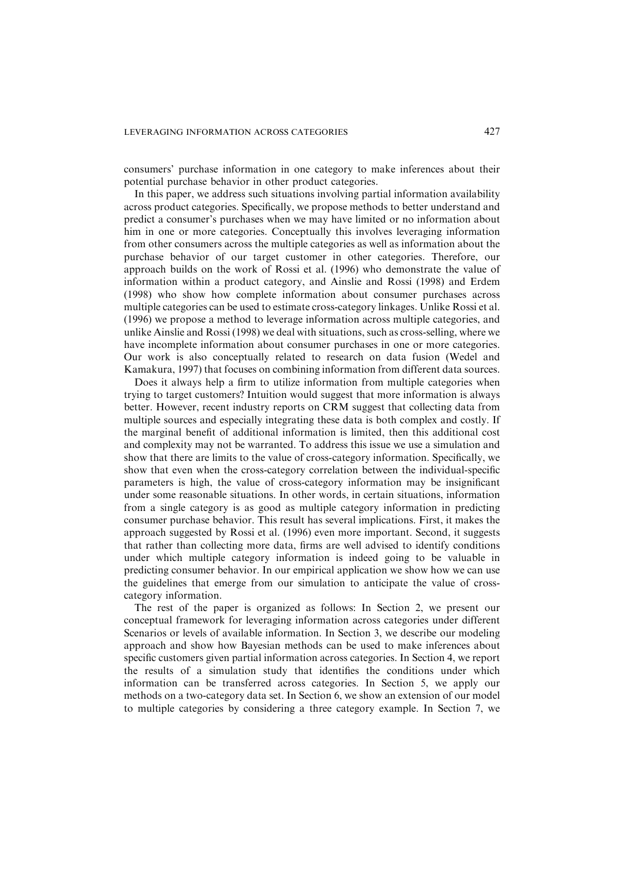consumers' purchase information in one category to make inferences about their potential purchase behavior in other product categories.

In this paper, we address such situations involving partial information availability across product categories. Specifically, we propose methods to better understand and predict a consumer's purchases when we may have limited or no information about him in one or more categories. Conceptually this involves leveraging information from other consumers across the multiple categories as well as information about the purchase behavior of our target customer in other categories. Therefore, our approach builds on the work of Rossi et al. (1996) who demonstrate the value of information within a product category, and Ainslie and Rossi (1998) and Erdem (1998) who show how complete information about consumer purchases across multiple categories can be used to estimate cross-category linkages. Unlike Rossi et al. (1996) we propose a method to leverage information across multiple categories, and unlike Ainslie and Rossi (1998) we deal with situations, such as cross-selling, where we have incomplete information about consumer purchases in one or more categories. Our work is also conceptually related to research on data fusion (Wedel and Kamakura, 1997) that focuses on combining information from different data sources.

Does it always help a firm to utilize information from multiple categories when trying to target customers? Intuition would suggest that more information is always better. However, recent industry reports on CRM suggest that collecting data from multiple sources and especially integrating these data is both complex and costly. If the marginal benefit of additional information is limited, then this additional cost and complexity may not be warranted. To address this issue we use a simulation and show that there are limits to the value of cross-category information. Specifically, we show that even when the cross-category correlation between the individual-specific parameters is high, the value of cross-category information may be insignificant under some reasonable situations. In other words, in certain situations, information from a single category is as good as multiple category information in predicting consumer purchase behavior. This result has several implications. First, it makes the approach suggested by Rossi et al. (1996) even more important. Second, it suggests that rather than collecting more data, firms are well advised to identify conditions under which multiple category information is indeed going to be valuable in predicting consumer behavior. In our empirical application we show how we can use the guidelines that emerge from our simulation to anticipate the value of crosscategory information.

The rest of the paper is organized as follows: In Section 2, we present our conceptual framework for leveraging information across categories under different Scenarios or levels of available information. In Section 3, we describe our modeling approach and show how Bayesian methods can be used to make inferences about specific customers given partial information across categories. In Section 4, we report the results of a simulation study that identifies the conditions under which information can be transferred across categories. In Section 5, we apply our methods on a two-category data set. In Section 6, we show an extension of our model to multiple categories by considering a three category example. In Section 7, we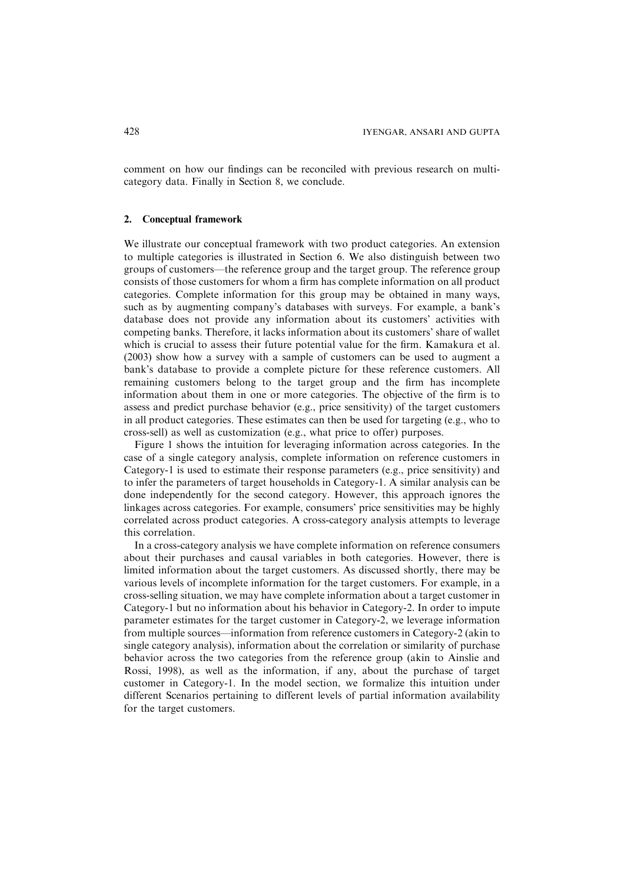comment on how our findings can be reconciled with previous research on multicategory data. Finally in Section 8, we conclude.

### 2. Conceptual framework

We illustrate our conceptual framework with two product categories. An extension to multiple categories is illustrated in Section 6. We also distinguish between two groups of customers—the reference group and the target group. The reference group consists of those customers for whom a firm has complete information on all product categories. Complete information for this group may be obtained in many ways, such as by augmenting company's databases with surveys. For example, a bank's database does not provide any information about its customers' activities with competing banks. Therefore, it lacks information about its customers' share of wallet which is crucial to assess their future potential value for the firm. Kamakura et al. (2003) show how a survey with a sample of customers can be used to augment a bank's database to provide a complete picture for these reference customers. All remaining customers belong to the target group and the firm has incomplete information about them in one or more categories. The objective of the firm is to assess and predict purchase behavior (e.g., price sensitivity) of the target customers in all product categories. These estimates can then be used for targeting (e.g., who to cross-sell) as well as customization (e.g., what price to offer) purposes.

Figure 1 shows the intuition for leveraging information across categories. In the case of a single category analysis, complete information on reference customers in Category-1 is used to estimate their response parameters (e.g., price sensitivity) and to infer the parameters of target households in Category-1. A similar analysis can be done independently for the second category. However, this approach ignores the linkages across categories. For example, consumers' price sensitivities may be highly correlated across product categories. A cross-category analysis attempts to leverage this correlation.

In a cross-category analysis we have complete information on reference consumers about their purchases and causal variables in both categories. However, there is limited information about the target customers. As discussed shortly, there may be various levels of incomplete information for the target customers. For example, in a cross-selling situation, we may have complete information about a target customer in Category-1 but no information about his behavior in Category-2. In order to impute parameter estimates for the target customer in Category-2, we leverage information from multiple sources—information from reference customers in Category-2 (akin to single category analysis), information about the correlation or similarity of purchase behavior across the two categories from the reference group (akin to Ainslie and Rossi, 1998), as well as the information, if any, about the purchase of target customer in Category-1. In the model section, we formalize this intuition under different Scenarios pertaining to different levels of partial information availability for the target customers.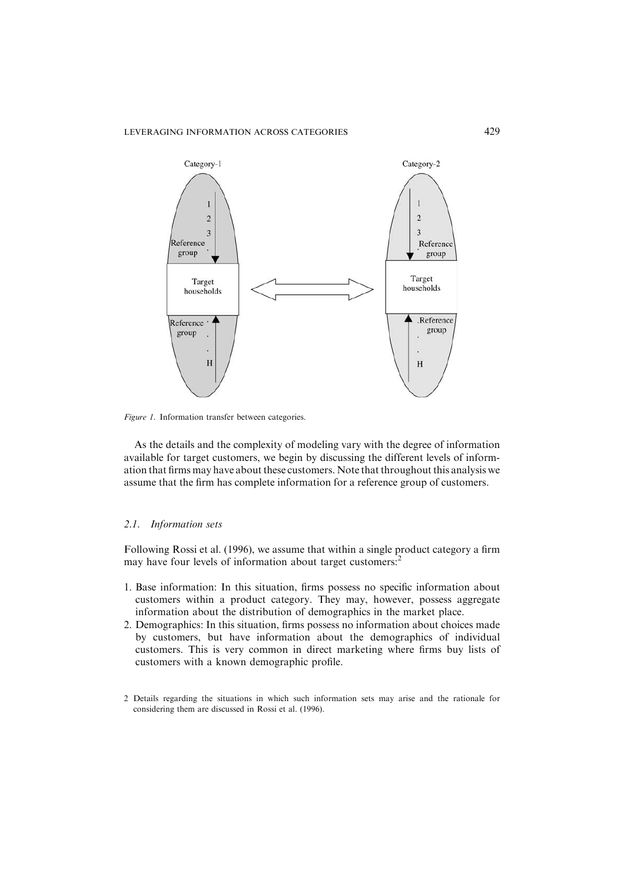

Figure 1. Information transfer between categories.

As the details and the complexity of modeling vary with the degree of information available for target customers, we begin by discussing the different levels of information that firms may have about these customers. Note that throughout this analysis we assume that the firm has complete information for a reference group of customers.

## 2.1. Information sets

Following Rossi et al. (1996), we assume that within a single product category a firm may have four levels of information about target customers:<sup>2</sup>

- 1. Base information: In this situation, firms possess no specific information about customers within a product category. They may, however, possess aggregate information about the distribution of demographics in the market place.
- 2. Demographics: In this situation, firms possess no information about choices made by customers, but have information about the demographics of individual customers. This is very common in direct marketing where firms buy lists of customers with a known demographic profile.
- 2 Details regarding the situations in which such information sets may arise and the rationale for considering them are discussed in Rossi et al. (1996).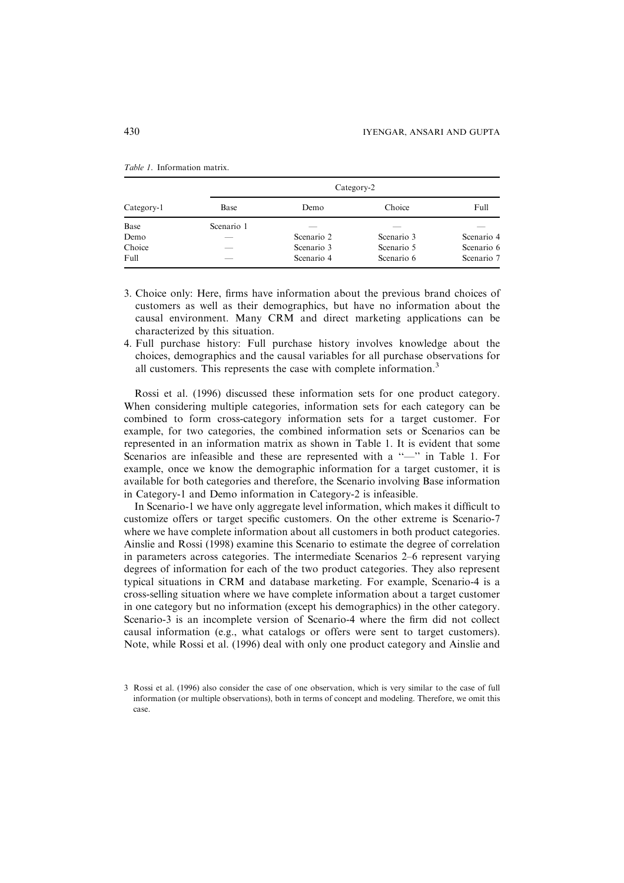| Category-1 |            | Category-2 |            |            |  |
|------------|------------|------------|------------|------------|--|
|            | Base       | Demo       | Choice     | Full       |  |
| Base       | Scenario 1 |            |            |            |  |
| Demo       |            | Scenario 2 | Scenario 3 | Scenario 4 |  |
| Choice     |            | Scenario 3 | Scenario 5 | Scenario 6 |  |
| Full       |            | Scenario 4 | Scenario 6 | Scenario 7 |  |

Table 1. Information matrix.

- 3. Choice only: Here, firms have information about the previous brand choices of customers as well as their demographics, but have no information about the causal environment. Many CRM and direct marketing applications can be characterized by this situation.
- 4. Full purchase history: Full purchase history involves knowledge about the choices, demographics and the causal variables for all purchase observations for all customers. This represents the case with complete information.<sup>3</sup>

Rossi et al. (1996) discussed these information sets for one product category. When considering multiple categories, information sets for each category can be combined to form cross-category information sets for a target customer. For example, for two categories, the combined information sets or Scenarios can be represented in an information matrix as shown in Table 1. It is evident that some Scenarios are infeasible and these are represented with a "—" in Table 1. For example, once we know the demographic information for a target customer, it is available for both categories and therefore, the Scenario involving Base information in Category-1 and Demo information in Category-2 is infeasible.

In Scenario-1 we have only aggregate level information, which makes it difficult to customize offers or target specific customers. On the other extreme is Scenario-7 where we have complete information about all customers in both product categories. Ainslie and Rossi (1998) examine this Scenario to estimate the degree of correlation in parameters across categories. The intermediate Scenarios 2–6 represent varying degrees of information for each of the two product categories. They also represent typical situations in CRM and database marketing. For example, Scenario-4 is a cross-selling situation where we have complete information about a target customer in one category but no information (except his demographics) in the other category. Scenario-3 is an incomplete version of Scenario-4 where the firm did not collect causal information (e.g., what catalogs or offers were sent to target customers). Note, while Rossi et al. (1996) deal with only one product category and Ainslie and

<sup>3</sup> Rossi et al. (1996) also consider the case of one observation, which is very similar to the case of full information (or multiple observations), both in terms of concept and modeling. Therefore, we omit this case.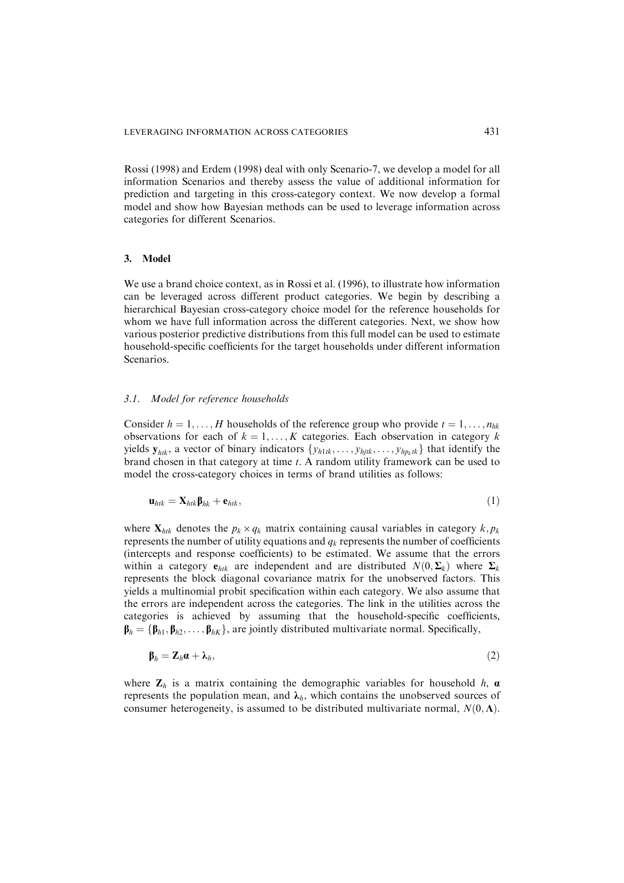Rossi (1998) and Erdem (1998) deal with only Scenario-7, we develop a model for all information Scenarios and thereby assess the value of additional information for prediction and targeting in this cross-category context. We now develop a formal model and show how Bayesian methods can be used to leverage information across categories for different Scenarios.

## 3. Model

We use a brand choice context, as in Rossi et al. (1996), to illustrate how information can be leveraged across different product categories. We begin by describing a hierarchical Bayesian cross-category choice model for the reference households for whom we have full information across the different categories. Next, we show how various posterior predictive distributions from this full model can be used to estimate household-specific coefficients for the target households under different information Scenarios.

#### 3.1. Model for reference households

Consider  $h = 1, \ldots, H$  households of the reference group who provide  $t = 1, \ldots, n_{hk}$ observations for each of  $k = 1, ..., K$  categories. Each observation in category k yields  $y_{htk}$ , a vector of binary indicators  $\{y_{h1tk}, \ldots, y_{hjtk}, \ldots, y_{h p_ktk}\}\$  that identify the brand chosen in that category at time t. A random utility framework can be used to model the cross-category choices in terms of brand utilities as follows:

$$
\mathbf{u}_{htk} = \mathbf{X}_{htk} \mathbf{\beta}_{hk} + \mathbf{e}_{htk},\tag{1}
$$

where  $X_{hik}$  denotes the  $p_k \times q_k$  matrix containing causal variables in category k;  $p_k$ represents the number of utility equations and  $q_k$  represents the number of coefficients (intercepts and response coefficients) to be estimated. We assume that the errors within a category  $e_{htk}$  are independent and are distributed  $N(0, \Sigma_k)$  where  $\Sigma_k$ represents the block diagonal covariance matrix for the unobserved factors. This yields a multinomial probit specification within each category. We also assume that the errors are independent across the categories. The link in the utilities across the categories is achieved by assuming that the household-specific coefficients,  $\beta_h = {\beta_{h1}, \beta_{h2}, \dots, \beta_{hK}}$ , are jointly distributed multivariate normal. Specifically,

$$
\beta_h = \mathbf{Z}_h \mathbf{\alpha} + \lambda_h,\tag{2}
$$

where  $\mathbf{Z}_h$  is a matrix containing the demographic variables for household h,  $\boldsymbol{\alpha}$ represents the population mean, and  $\lambda_h$ , which contains the unobserved sources of consumer heterogeneity, is assumed to be distributed multivariate normal,  $N(0, \Lambda)$ .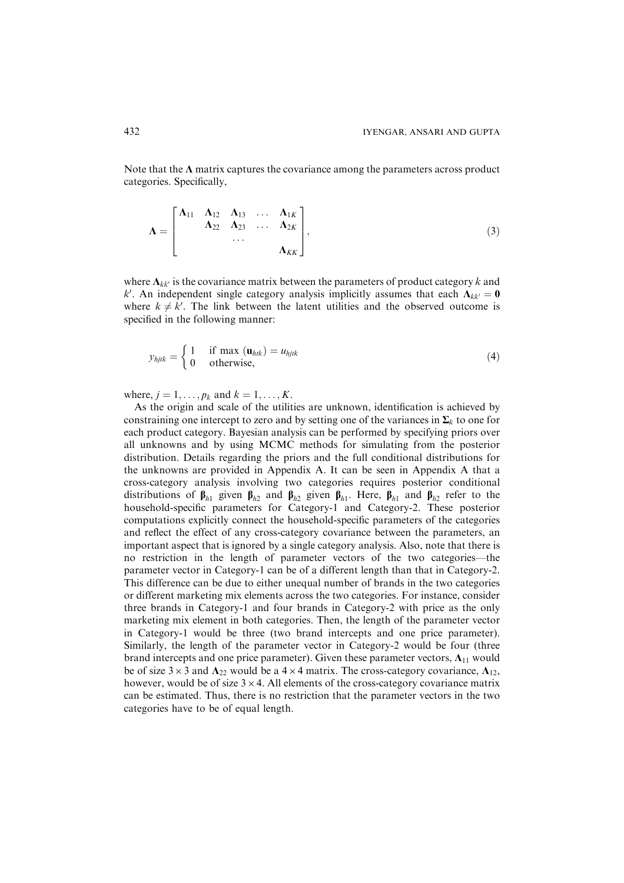Note that the  $\Lambda$  matrix captures the covariance among the parameters across product categories. Specifically,

$$
\Lambda = \begin{bmatrix} \Lambda_{11} & \Lambda_{12} & \Lambda_{13} & \dots & \Lambda_{1K} \\ \Lambda_{22} & \Lambda_{23} & \dots & \Lambda_{2K} \\ \dots & \dots & \dots & \dots \\ \end{bmatrix},
$$
(3)

where  $\Lambda_{kk'}$  is the covariance matrix between the parameters of product category k and k'. An independent single category analysis implicitly assumes that each  $\Lambda_{kk'} = 0$ where  $k \neq k'$ . The link between the latent utilities and the observed outcome is specified in the following manner:

$$
y_{hjtk} = \begin{cases} 1 & \text{if } \max(\mathbf{u}_{htk}) = u_{hjtk} \\ 0 & \text{otherwise,} \end{cases}
$$
 (4)

where,  $j = 1, \ldots, p_k$  and  $k = 1, \ldots, K$ .

As the origin and scale of the utilities are unknown, identification is achieved by constraining one intercept to zero and by setting one of the variances in  $\Sigma_k$  to one for each product category. Bayesian analysis can be performed by specifying priors over all unknowns and by using MCMC methods for simulating from the posterior distribution. Details regarding the priors and the full conditional distributions for the unknowns are provided in Appendix A. It can be seen in Appendix A that a cross-category analysis involving two categories requires posterior conditional distributions of  $\beta_{h1}$  given  $\beta_{h2}$  and  $\beta_{h2}$  given  $\beta_{h1}$ . Here,  $\beta_{h1}$  and  $\beta_{h2}$  refer to the household-specific parameters for Category-1 and Category-2. These posterior computations explicitly connect the household-specific parameters of the categories and reflect the effect of any cross-category covariance between the parameters, an important aspect that is ignored by a single category analysis. Also, note that there is no restriction in the length of parameter vectors of the two categories—the parameter vector in Category-1 can be of a different length than that in Category-2. This difference can be due to either unequal number of brands in the two categories or different marketing mix elements across the two categories. For instance, consider three brands in Category-1 and four brands in Category-2 with price as the only marketing mix element in both categories. Then, the length of the parameter vector in Category-1 would be three (two brand intercepts and one price parameter). Similarly, the length of the parameter vector in Category-2 would be four (three brand intercepts and one price parameter). Given these parameter vectors,  $\Lambda_{11}$  would be of size 3  $\times$  3 and  $\Lambda_{22}$  would be a 4  $\times$  4 matrix. The cross-category covariance,  $\Lambda_{12}$ , however, would be of size  $3 \times 4$ . All elements of the cross-category covariance matrix can be estimated. Thus, there is no restriction that the parameter vectors in the two categories have to be of equal length.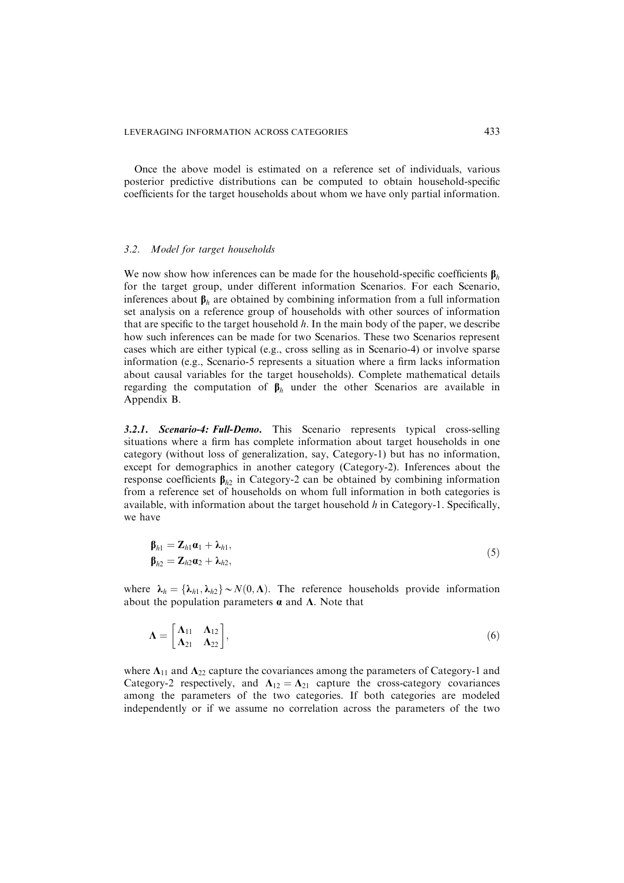Once the above model is estimated on a reference set of individuals, various posterior predictive distributions can be computed to obtain household-specific coefficients for the target households about whom we have only partial information.

#### 3.2. Model for target households

We now show how inferences can be made for the household-specific coefficients  $\beta_h$ for the target group, under different information Scenarios. For each Scenario, inferences about  $\beta_h$  are obtained by combining information from a full information set analysis on a reference group of households with other sources of information that are specific to the target household  $h$ . In the main body of the paper, we describe how such inferences can be made for two Scenarios. These two Scenarios represent cases which are either typical (e.g., cross selling as in Scenario-4) or involve sparse information (e.g., Scenario-5 represents a situation where a firm lacks information about causal variables for the target households). Complete mathematical details regarding the computation of  $\beta_h$  under the other Scenarios are available in Appendix B.

3.2.1. Scenario-4: Full-Demo. This Scenario represents typical cross-selling situations where a firm has complete information about target households in one category (without loss of generalization, say, Category-1) but has no information, except for demographics in another category (Category-2). Inferences about the response coefficients  $\beta_{h2}$  in Category-2 can be obtained by combining information from a reference set of households on whom full information in both categories is available, with information about the target household  $h$  in Category-1. Specifically, we have

$$
\begin{aligned} \n\boldsymbol{\beta}_{h1} &= \mathbf{Z}_{h1} \boldsymbol{\alpha}_1 + \lambda_{h1}, \\ \n\boldsymbol{\beta}_{h2} &= \mathbf{Z}_{h2} \boldsymbol{\alpha}_2 + \lambda_{h2}, \n\end{aligned} \tag{5}
$$

where  $\lambda_h = {\lambda_{h1}, \lambda_{h2}} \sim N(0, \Lambda)$ . The reference households provide information about the population parameters  $\alpha$  and  $\Lambda$ . Note that

$$
\Lambda = \begin{bmatrix} \Lambda_{11} & \Lambda_{12} \\ \Lambda_{21} & \Lambda_{22} \end{bmatrix},\tag{6}
$$

where  $\Lambda_{11}$  and  $\Lambda_{22}$  capture the covariances among the parameters of Category-1 and Category-2 respectively, and  $\Lambda_{12} = \Lambda_{21}$  capture the cross-category covariances among the parameters of the two categories. If both categories are modeled independently or if we assume no correlation across the parameters of the two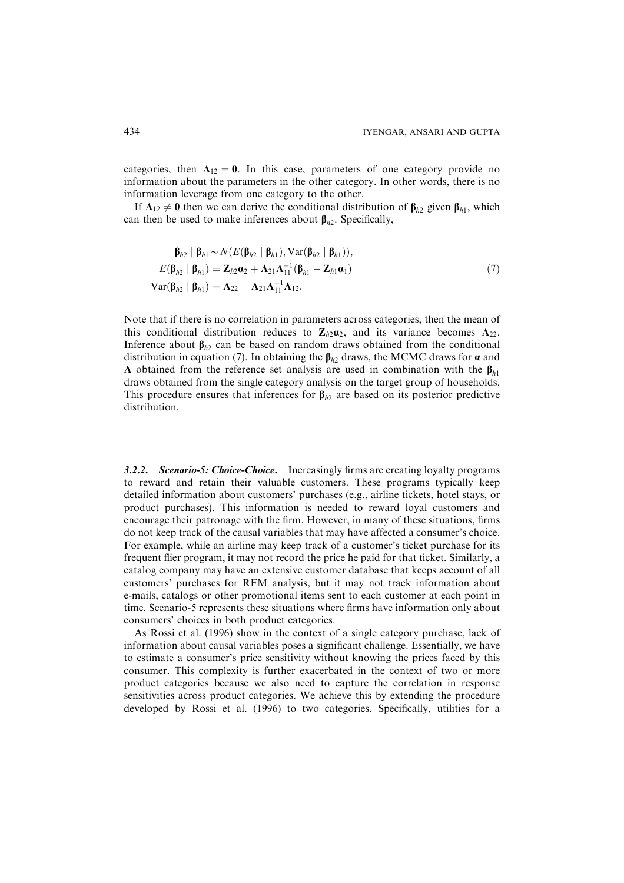categories, then  $\Lambda_{12} = 0$ . In this case, parameters of one category provide no information about the parameters in the other category. In other words, there is no information leverage from one category to the other.

If  $\Lambda_{12} \neq 0$  then we can derive the conditional distribution of  $\beta_{h2}$  given  $\beta_{h1}$ , which can then be used to make inferences about  $\beta_{h2}$ . Specifically,

$$
\mathbf{\beta}_{h2} | \mathbf{\beta}_{h1} \sim N(E(\mathbf{\beta}_{h2} | \mathbf{\beta}_{h1}), \text{Var}(\mathbf{\beta}_{h2} | \mathbf{\beta}_{h1})),
$$
  
\n
$$
E(\mathbf{\beta}_{h2} | \mathbf{\beta}_{h1}) = \mathbf{Z}_{h2}\mathbf{\alpha}_{2} + \mathbf{\Lambda}_{21}\mathbf{\Lambda}_{11}^{-1}(\mathbf{\beta}_{h1} - \mathbf{Z}_{h1}\mathbf{\alpha}_{1})
$$
  
\n
$$
\text{Var}(\mathbf{\beta}_{h2} | \mathbf{\beta}_{h1}) = \mathbf{\Lambda}_{22} - \mathbf{\Lambda}_{21}\mathbf{\Lambda}_{11}^{-1}\mathbf{\Lambda}_{12}.
$$
\n(7)

Note that if there is no correlation in parameters across categories, then the mean of this conditional distribution reduces to  $\mathbb{Z}_{h2}\mathfrak{a}_2$ , and its variance becomes  $\Lambda_{22}$ . Inference about  $\beta_{h2}$  can be based on random draws obtained from the conditional distribution in equation (7). In obtaining the  $\beta_{h2}$  draws, the MCMC draws for  $\alpha$  and  $\Lambda$  obtained from the reference set analysis are used in combination with the  $\beta_{h_1}$ draws obtained from the single category analysis on the target group of households. This procedure ensures that inferences for  $\beta_{h2}$  are based on its posterior predictive distribution.

3.2.2. Scenario-5: Choice-Choice. Increasingly firms are creating loyalty programs to reward and retain their valuable customers. These programs typically keep detailed information about customers' purchases (e.g., airline tickets, hotel stays, or product purchases). This information is needed to reward loyal customers and encourage their patronage with the firm. However, in many of these situations, firms do not keep track of the causal variables that may have affected a consumer's choice. For example, while an airline may keep track of a customer's ticket purchase for its frequent flier program, it may not record the price he paid for that ticket. Similarly, a catalog company may have an extensive customer database that keeps account of all customers' purchases for RFM analysis, but it may not track information about e-mails, catalogs or other promotional items sent to each customer at each point in time. Scenario-5 represents these situations where firms have information only about consumers' choices in both product categories.

As Rossi et al. (1996) show in the context of a single category purchase, lack of information about causal variables poses a significant challenge. Essentially, we have to estimate a consumer's price sensitivity without knowing the prices faced by this consumer. This complexity is further exacerbated in the context of two or more product categories because we also need to capture the correlation in response sensitivities across product categories. We achieve this by extending the procedure developed by Rossi et al. (1996) to two categories. Specifically, utilities for a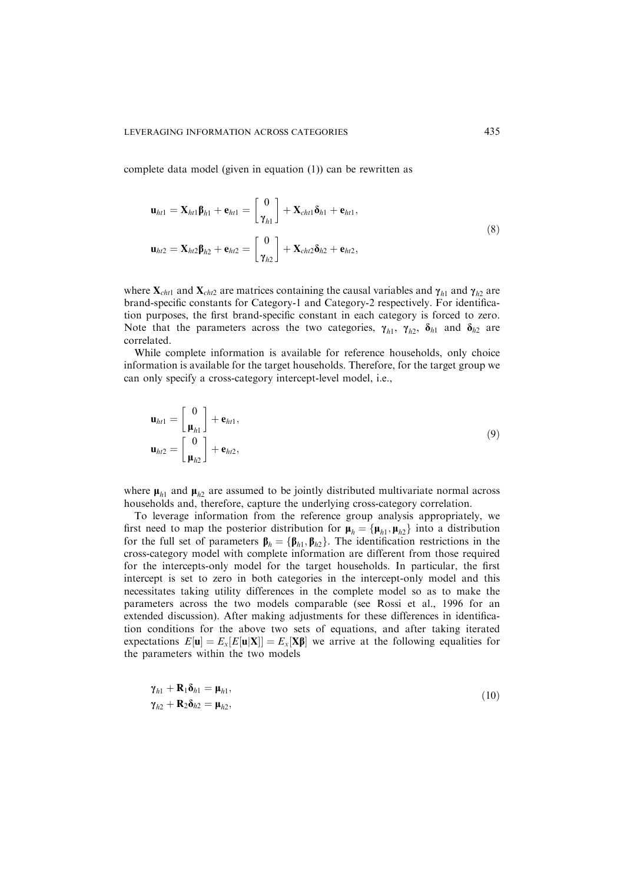complete data model (given in equation (1)) can be rewritten as

$$
\mathbf{u}_{ht1} = \mathbf{X}_{ht1} \boldsymbol{\beta}_{h1} + \mathbf{e}_{ht1} = \begin{bmatrix} 0 \\ \boldsymbol{\gamma}_{h1} \end{bmatrix} + \mathbf{X}_{cht1} \delta_{h1} + \mathbf{e}_{ht1},
$$
  

$$
\mathbf{u}_{ht2} = \mathbf{X}_{ht2} \boldsymbol{\beta}_{h2} + \mathbf{e}_{ht2} = \begin{bmatrix} 0 \\ \boldsymbol{\gamma}_{h2} \end{bmatrix} + \mathbf{X}_{cht2} \delta_{h2} + \mathbf{e}_{ht2},
$$
 (8)

where  $X_{ch1}$  and  $X_{ch12}$  are matrices containing the causal variables and  $\gamma_{h1}$  and  $\gamma_{h2}$  are brand-specific constants for Category-1 and Category-2 respectively. For identification purposes, the first brand-specific constant in each category is forced to zero. Note that the parameters across the two categories,  $\gamma_{h1}$ ,  $\gamma_{h2}$ ,  $\delta_{h1}$  and  $\delta_{h2}$  are correlated.

While complete information is available for reference households, only choice information is available for the target households. Therefore, for the target group we can only specify a cross-category intercept-level model, i.e.,

$$
\mathbf{u}_{h1} = \begin{bmatrix} 0 \\ \mathbf{\mu}_{h1} \end{bmatrix} + \mathbf{e}_{h1},
$$
  

$$
\mathbf{u}_{h12} = \begin{bmatrix} 0 \\ \mathbf{\mu}_{h2} \end{bmatrix} + \mathbf{e}_{h12},
$$
 (9)

where  $\mu_{h1}$  and  $\mu_{h2}$  are assumed to be jointly distributed multivariate normal across households and, therefore, capture the underlying cross-category correlation.

To leverage information from the reference group analysis appropriately, we first need to map the posterior distribution for  $\mu_h = {\mu_{h1}, \mu_{h2}}$  into a distribution for the full set of parameters  $\beta_h = {\beta_{h1}, \beta_{h2}}$ . The identification restrictions in the cross-category model with complete information are different from those required for the intercepts-only model for the target households. In particular, the first intercept is set to zero in both categories in the intercept-only model and this necessitates taking utility differences in the complete model so as to make the parameters across the two models comparable (see Rossi et al., 1996 for an extended discussion). After making adjustments for these differences in identification conditions for the above two sets of equations, and after taking iterated expectations  $E[\mathbf{u}] = E_x[E[\mathbf{u}|\mathbf{X}]] = E_x[\mathbf{X}\boldsymbol{\beta}]$  we arrive at the following equalities for the parameters within the two models

$$
\gamma_{h1} + \mathbf{R}_1 \delta_{h1} = \mathbf{\mu}_{h1},
$$
  
\n
$$
\gamma_{h2} + \mathbf{R}_2 \delta_{h2} = \mathbf{\mu}_{h2},
$$
\n(10)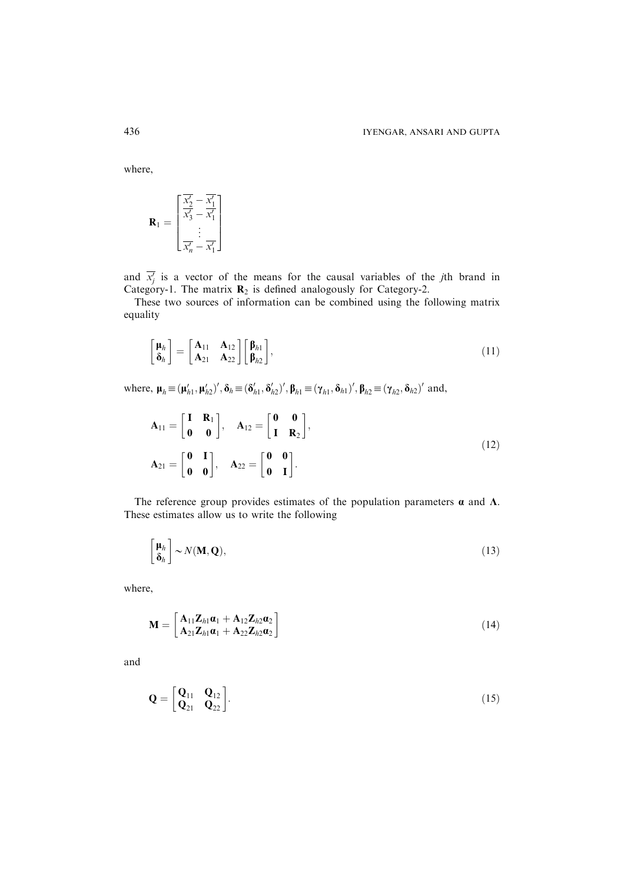where,

$$
\mathbf{R}_1 = \begin{bmatrix} \frac{\overline{x_2'} - \overline{x_1'}}{\overline{x_3'} - \overline{x_1'}} \\ \vdots \\ \frac{\overline{x_n'}}{\overline{x_n'} - \overline{x_1'}} \end{bmatrix}
$$

and  $\overline{x_j}$  is a vector of the means for the causal variables of the *j*th brand in Category-1. The matrix  $\mathbf{R}_2$  is defined analogously for Category-2.

These two sources of information can be combined using the following matrix equality

$$
\begin{bmatrix} \mathbf{\mu}_h \\ \mathbf{\delta}_h \end{bmatrix} = \begin{bmatrix} \mathbf{A}_{11} & \mathbf{A}_{12} \\ \mathbf{A}_{21} & \mathbf{A}_{22} \end{bmatrix} \begin{bmatrix} \beta_{h1} \\ \beta_{h2} \end{bmatrix},
$$
\n(11)

where,  $\mathbf{\mu}_h \equiv (\mathbf{\mu}_{h1}', \mathbf{\mu}_{h2}')', \delta_h \equiv (\delta_{h1}', \delta_{h2}')', \beta_{h1} \equiv (\gamma_{h1}, \delta_{h1})', \beta_{h2} \equiv (\gamma_{h2}, \delta_{h2})'$  and,

$$
\mathbf{A}_{11} = \begin{bmatrix} \mathbf{I} & \mathbf{R}_1 \\ \mathbf{0} & \mathbf{0} \end{bmatrix}, \quad \mathbf{A}_{12} = \begin{bmatrix} \mathbf{0} & \mathbf{0} \\ \mathbf{I} & \mathbf{R}_2 \end{bmatrix},
$$
  

$$
\mathbf{A}_{21} = \begin{bmatrix} \mathbf{0} & \mathbf{I} \\ \mathbf{0} & \mathbf{0} \end{bmatrix}, \quad \mathbf{A}_{22} = \begin{bmatrix} \mathbf{0} & \mathbf{0} \\ \mathbf{0} & \mathbf{I} \end{bmatrix}.
$$
 (12)

The reference group provides estimates of the population parameters  $\alpha$  and  $\Lambda$ . These estimates allow us to write the following

$$
\begin{bmatrix} \mathbf{\mu}_h \\ \mathbf{\delta}_h \end{bmatrix} \sim N(\mathbf{M}, \mathbf{Q}),\tag{13}
$$

where,

$$
\mathbf{M} = \begin{bmatrix} \mathbf{A}_{11} \mathbf{Z}_{h1} \boldsymbol{\alpha}_1 + \mathbf{A}_{12} \mathbf{Z}_{h2} \boldsymbol{\alpha}_2 \\ \mathbf{A}_{21} \mathbf{Z}_{h1} \boldsymbol{\alpha}_1 + \mathbf{A}_{22} \mathbf{Z}_{h2} \boldsymbol{\alpha}_2 \end{bmatrix}
$$
(14)

and

$$
\mathbf{Q} = \begin{bmatrix} \mathbf{Q}_{11} & \mathbf{Q}_{12} \\ \mathbf{Q}_{21} & \mathbf{Q}_{22} \end{bmatrix} . \tag{15}
$$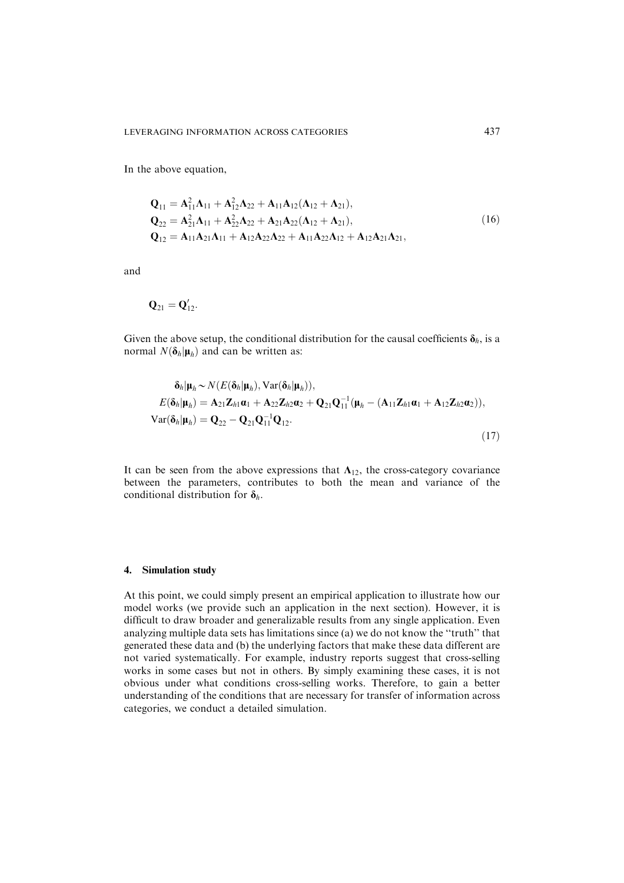In the above equation,

$$
Q_{11} = A_{11}^2 A_{11} + A_{12}^2 A_{22} + A_{11} A_{12} (A_{12} + A_{21}),
$$
  
\n
$$
Q_{22} = A_{21}^2 A_{11} + A_{22}^2 A_{22} + A_{21} A_{22} (A_{12} + A_{21}),
$$
  
\n
$$
Q_{12} = A_{11} A_{21} A_{11} + A_{12} A_{22} A_{22} + A_{11} A_{22} A_{12} + A_{12} A_{21} A_{21},
$$
\n(16)

and

$$
\mathbf{Q}_{21}=\mathbf{Q}_{12}^{\prime}.
$$

Given the above setup, the conditional distribution for the causal coefficients  $\delta_h$ , is a normal  $N(\delta_h|\mu_h)$  and can be written as:

$$
\delta_h|\mathbf{\mu}_h \sim N(E(\delta_h|\mathbf{\mu}_h), \text{Var}(\delta_h|\mathbf{\mu}_h)),E(\delta_h|\mathbf{\mu}_h) = \mathbf{A}_{21}\mathbf{Z}_{h1}\mathbf{a}_1 + \mathbf{A}_{22}\mathbf{Z}_{h2}\mathbf{a}_2 + \mathbf{Q}_{21}\mathbf{Q}_{11}^{-1}(\mathbf{\mu}_h - (\mathbf{A}_{11}\mathbf{Z}_{h1}\mathbf{a}_1 + \mathbf{A}_{12}\mathbf{Z}_{h2}\mathbf{a}_2)),\n\text{Var}(\delta_h|\mathbf{\mu}_h) = \mathbf{Q}_{22} - \mathbf{Q}_{21}\mathbf{Q}_{11}^{-1}\mathbf{Q}_{12}.
$$
\n(17)

It can be seen from the above expressions that  $\Lambda_{12}$ , the cross-category covariance between the parameters, contributes to both the mean and variance of the conditional distribution for  $\delta_h$ .

#### 4. Simulation study

At this point, we could simply present an empirical application to illustrate how our model works (we provide such an application in the next section). However, it is difficult to draw broader and generalizable results from any single application. Even analyzing multiple data sets has limitations since (a) we do not know the ''truth'' that generated these data and (b) the underlying factors that make these data different are not varied systematically. For example, industry reports suggest that cross-selling works in some cases but not in others. By simply examining these cases, it is not obvious under what conditions cross-selling works. Therefore, to gain a better understanding of the conditions that are necessary for transfer of information across categories, we conduct a detailed simulation.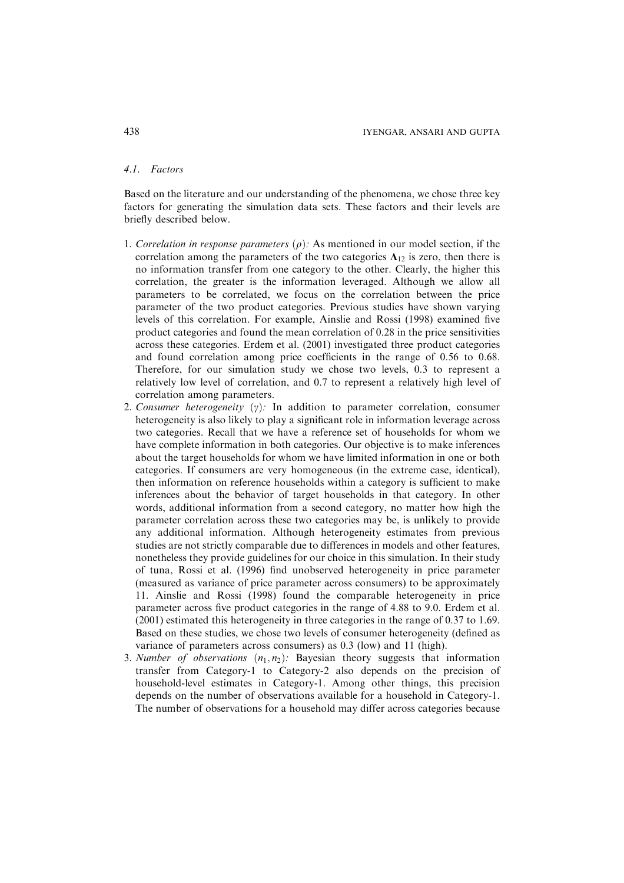# 4.1. Factors

Based on the literature and our understanding of the phenomena, we chose three key factors for generating the simulation data sets. These factors and their levels are briefly described below.

- 1. Correlation in response parameters  $(\rho)$ : As mentioned in our model section, if the correlation among the parameters of the two categories  $\Lambda_{12}$  is zero, then there is no information transfer from one category to the other. Clearly, the higher this correlation, the greater is the information leveraged. Although we allow all parameters to be correlated, we focus on the correlation between the price parameter of the two product categories. Previous studies have shown varying levels of this correlation. For example, Ainslie and Rossi (1998) examined five product categories and found the mean correlation of 0.28 in the price sensitivities across these categories. Erdem et al. (2001) investigated three product categories and found correlation among price coefficients in the range of 0.56 to 0.68. Therefore, for our simulation study we chose two levels, 0.3 to represent a relatively low level of correlation, and 0.7 to represent a relatively high level of correlation among parameters.
- 2. Consumer heterogeneity  $(y)$ : In addition to parameter correlation, consumer heterogeneity is also likely to play a significant role in information leverage across two categories. Recall that we have a reference set of households for whom we have complete information in both categories. Our objective is to make inferences about the target households for whom we have limited information in one or both categories. If consumers are very homogeneous (in the extreme case, identical), then information on reference households within a category is sufficient to make inferences about the behavior of target households in that category. In other words, additional information from a second category, no matter how high the parameter correlation across these two categories may be, is unlikely to provide any additional information. Although heterogeneity estimates from previous studies are not strictly comparable due to differences in models and other features, nonetheless they provide guidelines for our choice in this simulation. In their study of tuna, Rossi et al. (1996) find unobserved heterogeneity in price parameter (measured as variance of price parameter across consumers) to be approximately 11. Ainslie and Rossi (1998) found the comparable heterogeneity in price parameter across five product categories in the range of 4.88 to 9.0. Erdem et al. (2001) estimated this heterogeneity in three categories in the range of 0.37 to 1.69. Based on these studies, we chose two levels of consumer heterogeneity (defined as variance of parameters across consumers) as 0.3 (low) and 11 (high).
- 3. Number of observations  $(n_1, n_2)$ : Bayesian theory suggests that information transfer from Category-1 to Category-2 also depends on the precision of household-level estimates in Category-1. Among other things, this precision depends on the number of observations available for a household in Category-1. The number of observations for a household may differ across categories because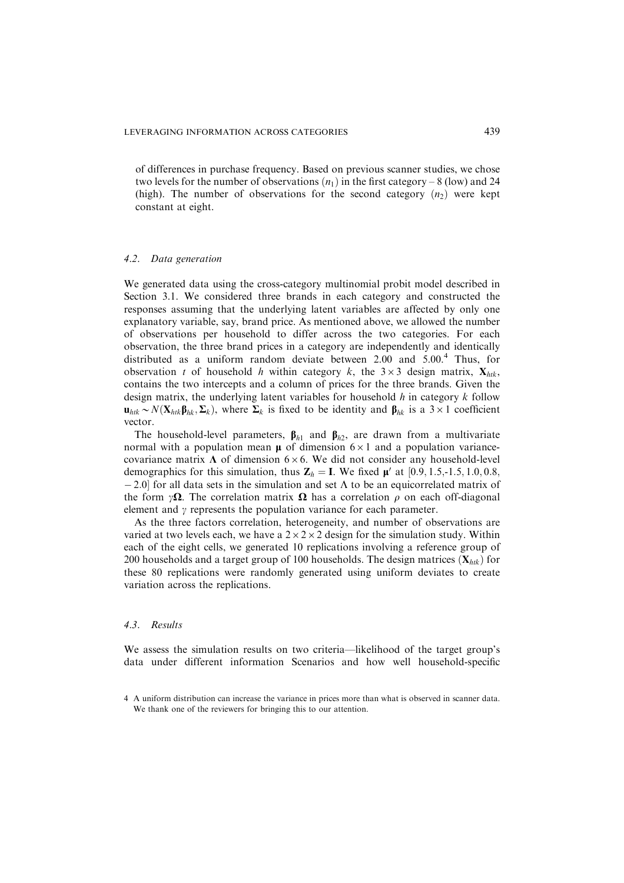of differences in purchase frequency. Based on previous scanner studies, we chose two levels for the number of observations  $(n_1)$  in the first category – 8 (low) and 24 (high). The number of observations for the second category  $(n_2)$  were kept constant at eight.

### 4.2. Data generation

We generated data using the cross-category multinomial probit model described in Section 3.1. We considered three brands in each category and constructed the responses assuming that the underlying latent variables are affected by only one explanatory variable, say, brand price. As mentioned above, we allowed the number of observations per household to differ across the two categories. For each observation, the three brand prices in a category are independently and identically distributed as a uniform random deviate between 2.00 and 5.00.<sup>4</sup> Thus, for observation t of household h within category k, the  $3\times3$  design matrix,  $X_{htk}$ , contains the two intercepts and a column of prices for the three brands. Given the design matrix, the underlying latent variables for household h in category  $k$  follow  $\mathbf{u}_{htk} \sim N(\mathbf{X}_{htk}\boldsymbol{\beta}_{hk}, \boldsymbol{\Sigma}_k)$ , where  $\boldsymbol{\Sigma}_k$  is fixed to be identity and  $\boldsymbol{\beta}_{hk}$  is a 3 × 1 coefficient vector.

The household-level parameters,  $\beta_{h1}$  and  $\beta_{h2}$ , are drawn from a multivariate normal with a population mean  $\mu$  of dimension 6  $\times$  1 and a population variancecovariance matrix  $\Lambda$  of dimension 6  $\times$  6. We did not consider any household-level demographics for this simulation, thus  $\mathbf{Z}_h = \mathbf{I}$ . We fixed  $\boldsymbol{\mu}'$  at [0.9, 1.5, -1.5, 1.0, 0.8,  $-2.0$  for all data sets in the simulation and set  $\Lambda$  to be an equicorrelated matrix of the form  $\gamma \Omega$ . The correlation matrix  $\Omega$  has a correlation  $\rho$  on each off-diagonal element and  $\gamma$  represents the population variance for each parameter.

As the three factors correlation, heterogeneity, and number of observations are varied at two levels each, we have a  $2 \times 2 \times 2$  design for the simulation study. Within each of the eight cells, we generated 10 replications involving a reference group of 200 households and a target group of 100 households. The design matrices  $(X_{hik})$  for these 80 replications were randomly generated using uniform deviates to create variation across the replications.

## 4.3. Results

We assess the simulation results on two criteria—likelihood of the target group's data under different information Scenarios and how well household-specific

<sup>4</sup> A uniform distribution can increase the variance in prices more than what is observed in scanner data. We thank one of the reviewers for bringing this to our attention.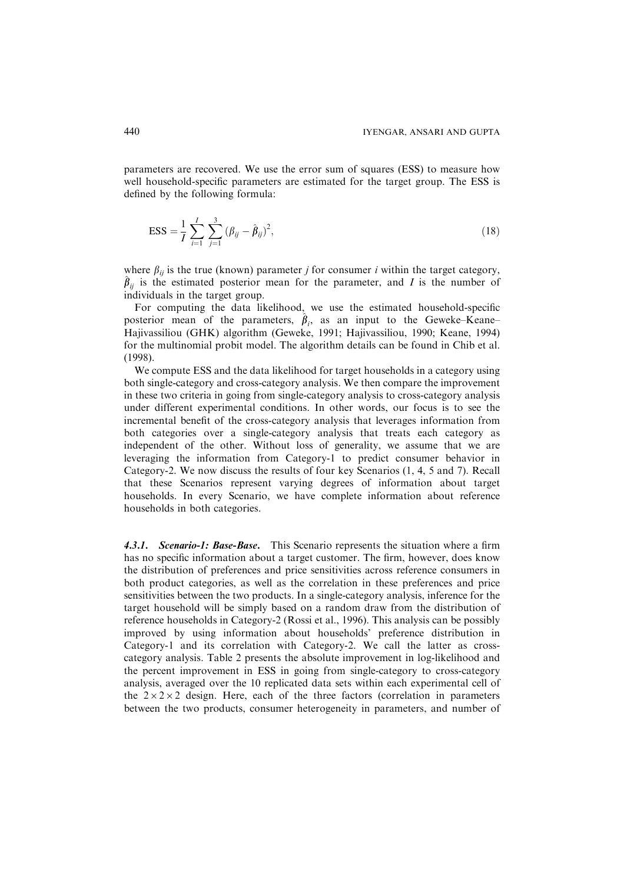parameters are recovered. We use the error sum of squares (ESS) to measure how well household-specific parameters are estimated for the target group. The ESS is defined by the following formula:

$$
ESS = \frac{1}{I} \sum_{i=1}^{I} \sum_{j=1}^{3} (\beta_{ij} - \hat{\beta}_{ij})^2,
$$
\n(18)

where  $\beta_{ij}$  is the true (known) parameter *j* for consumer *i* within the target category,  $\hat{\beta}_{ii}$  is the estimated posterior mean for the parameter, and I is the number of individuals in the target group.

For computing the data likelihood, we use the estimated household-specific posterior mean of the parameters,  $\hat{\beta}_i$ , as an input to the Geweke–Keane– Hajivassiliou (GHK) algorithm (Geweke, 1991; Hajivassiliou, 1990; Keane, 1994) for the multinomial probit model. The algorithm details can be found in Chib et al. (1998).

We compute ESS and the data likelihood for target households in a category using both single-category and cross-category analysis. We then compare the improvement in these two criteria in going from single-category analysis to cross-category analysis under different experimental conditions. In other words, our focus is to see the incremental benefit of the cross-category analysis that leverages information from both categories over a single-category analysis that treats each category as independent of the other. Without loss of generality, we assume that we are leveraging the information from Category-1 to predict consumer behavior in Category-2. We now discuss the results of four key Scenarios (1, 4, 5 and 7). Recall that these Scenarios represent varying degrees of information about target households. In every Scenario, we have complete information about reference households in both categories.

4.3.1. Scenario-1: Base-Base. This Scenario represents the situation where a firm has no specific information about a target customer. The firm, however, does know the distribution of preferences and price sensitivities across reference consumers in both product categories, as well as the correlation in these preferences and price sensitivities between the two products. In a single-category analysis, inference for the target household will be simply based on a random draw from the distribution of reference households in Category-2 (Rossi et al., 1996). This analysis can be possibly improved by using information about households' preference distribution in Category-1 and its correlation with Category-2. We call the latter as crosscategory analysis. Table 2 presents the absolute improvement in log-likelihood and the percent improvement in ESS in going from single-category to cross-category analysis, averaged over the 10 replicated data sets within each experimental cell of the  $2 \times 2 \times 2$  design. Here, each of the three factors (correlation in parameters between the two products, consumer heterogeneity in parameters, and number of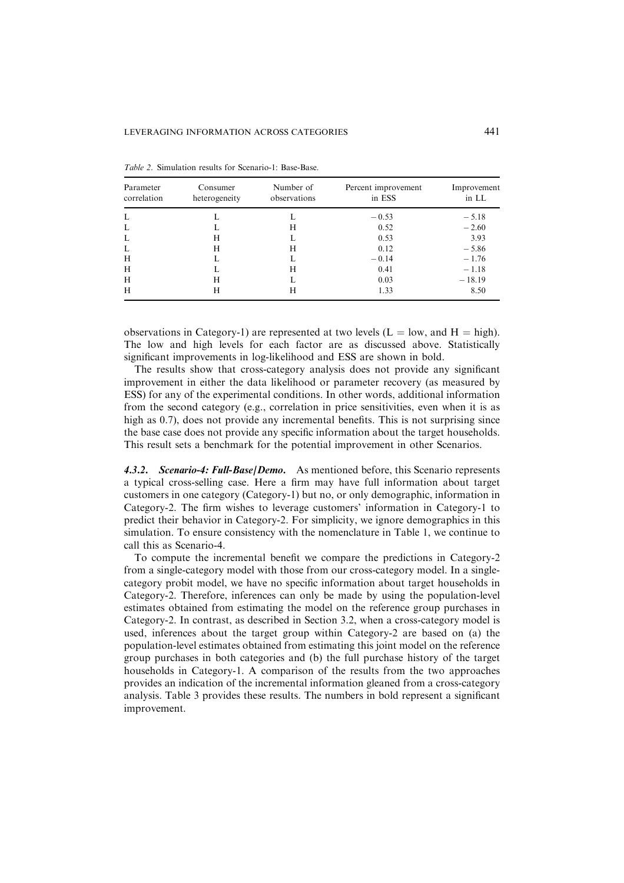| Parameter<br>correlation | Consumer<br>heterogeneity | Number of<br>observations | Percent improvement<br>in ESS | Improvement<br>in LL |
|--------------------------|---------------------------|---------------------------|-------------------------------|----------------------|
| L                        |                           |                           | $-0.53$                       | $-5.18$              |
| L                        |                           | Н                         | 0.52                          | $-2.60$              |
| L                        | H                         |                           | 0.53                          | 3.93                 |
| L                        | H                         | H                         | 0.12                          | $-5.86$              |
| H                        |                           |                           | $-0.14$                       | $-1.76$              |
| H                        |                           | H                         | 0.41                          | $-1.18$              |
| H                        | Н                         |                           | 0.03                          | $-18.19$             |
| H                        | H                         | H                         | 1.33                          | 8.50                 |

Table 2. Simulation results for Scenario-1: Base-Base.

observations in Category-1) are represented at two levels ( $L = low$ , and  $H = high$ ). The low and high levels for each factor are as discussed above. Statistically significant improvements in log-likelihood and ESS are shown in bold.

The results show that cross-category analysis does not provide any significant improvement in either the data likelihood or parameter recovery (as measured by ESS) for any of the experimental conditions. In other words, additional information from the second category (e.g., correlation in price sensitivities, even when it is as high as 0.7), does not provide any incremental benefits. This is not surprising since the base case does not provide any specific information about the target households. This result sets a benchmark for the potential improvement in other Scenarios.

4.3.2. Scenario-4: Full-Base/Demo. As mentioned before, this Scenario represents a typical cross-selling case. Here a firm may have full information about target customers in one category (Category-1) but no, or only demographic, information in Category-2. The firm wishes to leverage customers' information in Category-1 to predict their behavior in Category-2. For simplicity, we ignore demographics in this simulation. To ensure consistency with the nomenclature in Table 1, we continue to call this as Scenario-4.

To compute the incremental benefit we compare the predictions in Category-2 from a single-category model with those from our cross-category model. In a singlecategory probit model, we have no specific information about target households in Category-2. Therefore, inferences can only be made by using the population-level estimates obtained from estimating the model on the reference group purchases in Category-2. In contrast, as described in Section 3.2, when a cross-category model is used, inferences about the target group within Category-2 are based on (a) the population-level estimates obtained from estimating this joint model on the reference group purchases in both categories and (b) the full purchase history of the target households in Category-1. A comparison of the results from the two approaches provides an indication of the incremental information gleaned from a cross-category analysis. Table 3 provides these results. The numbers in bold represent a significant improvement.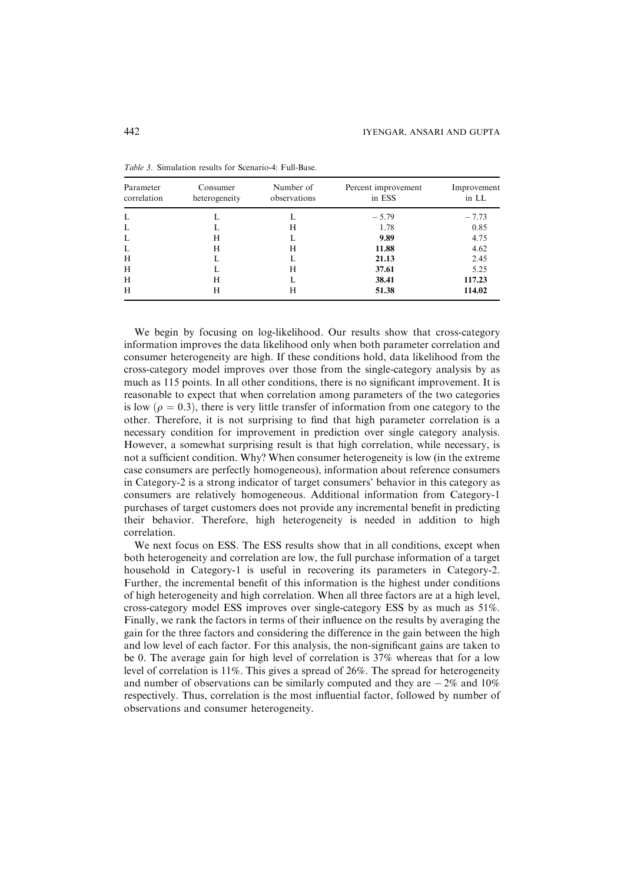| Parameter<br>correlation | Consumer<br>heterogeneity | Number of<br>observations | Percent improvement<br>in ESS | Improvement<br>in LL |
|--------------------------|---------------------------|---------------------------|-------------------------------|----------------------|
|                          |                           |                           | $-5.79$                       | $-7.73$              |
|                          |                           | Н                         | 1.78                          | 0.85                 |
| L                        | Н                         |                           | 9.89                          | 4.75                 |
| L                        | H                         | Н                         | 11.88                         | 4.62                 |
| H                        |                           |                           | 21.13                         | 2.45                 |
| H                        |                           | Н                         | 37.61                         | 5.25                 |
| H                        | H                         |                           | 38.41                         | 117.23               |
| H                        | H                         | H                         | 51.38                         | 114.02               |

Table 3. Simulation results for Scenario-4: Full-Base.

We begin by focusing on log-likelihood. Our results show that cross-category information improves the data likelihood only when both parameter correlation and consumer heterogeneity are high. If these conditions hold, data likelihood from the cross-category model improves over those from the single-category analysis by as much as 115 points. In all other conditions, there is no significant improvement. It is reasonable to expect that when correlation among parameters of the two categories is low ( $\rho = 0.3$ ), there is very little transfer of information from one category to the other. Therefore, it is not surprising to find that high parameter correlation is a necessary condition for improvement in prediction over single category analysis. However, a somewhat surprising result is that high correlation, while necessary, is not a sufficient condition. Why? When consumer heterogeneity is low (in the extreme case consumers are perfectly homogeneous), information about reference consumers in Category-2 is a strong indicator of target consumers' behavior in this category as consumers are relatively homogeneous. Additional information from Category-1 purchases of target customers does not provide any incremental benefit in predicting their behavior. Therefore, high heterogeneity is needed in addition to high correlation.

We next focus on ESS. The ESS results show that in all conditions, except when both heterogeneity and correlation are low, the full purchase information of a target household in Category-1 is useful in recovering its parameters in Category-2. Further, the incremental benefit of this information is the highest under conditions of high heterogeneity and high correlation. When all three factors are at a high level, cross-category model ESS improves over single-category ESS by as much as 51%. Finally, we rank the factors in terms of their influence on the results by averaging the gain for the three factors and considering the difference in the gain between the high and low level of each factor. For this analysis, the non-significant gains are taken to be 0. The average gain for high level of correlation is 37% whereas that for a low level of correlation is 11%. This gives a spread of 26%. The spread for heterogeneity and number of observations can be similarly computed and they are  $-2\%$  and 10% respectively. Thus, correlation is the most influential factor, followed by number of observations and consumer heterogeneity.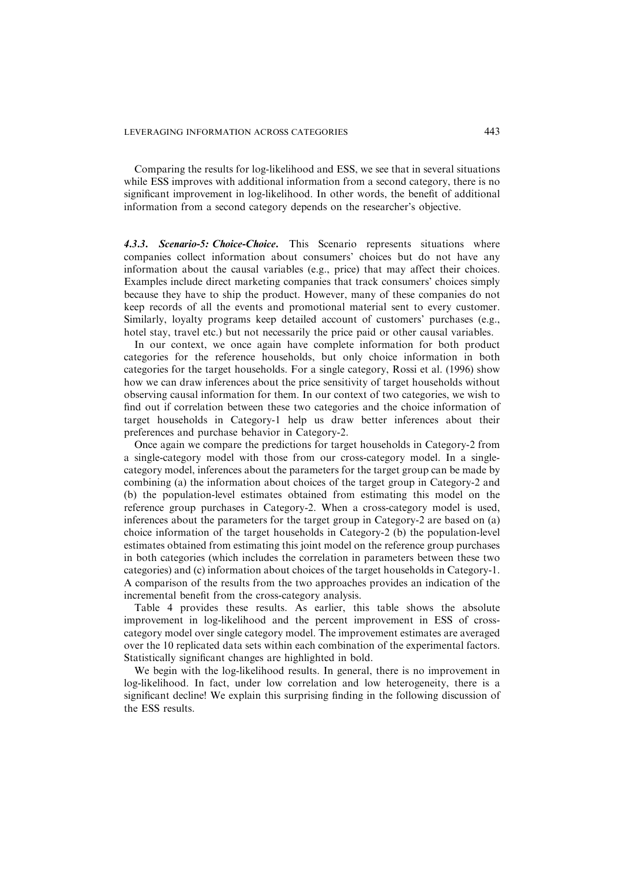Comparing the results for log-likelihood and ESS, we see that in several situations while ESS improves with additional information from a second category, there is no significant improvement in log-likelihood. In other words, the benefit of additional information from a second category depends on the researcher's objective.

4.3.3. Scenario-5: Choice-Choice. This Scenario represents situations where companies collect information about consumers' choices but do not have any information about the causal variables (e.g., price) that may affect their choices. Examples include direct marketing companies that track consumers' choices simply because they have to ship the product. However, many of these companies do not keep records of all the events and promotional material sent to every customer. Similarly, loyalty programs keep detailed account of customers' purchases (e.g., hotel stay, travel etc.) but not necessarily the price paid or other causal variables.

In our context, we once again have complete information for both product categories for the reference households, but only choice information in both categories for the target households. For a single category, Rossi et al. (1996) show how we can draw inferences about the price sensitivity of target households without observing causal information for them. In our context of two categories, we wish to find out if correlation between these two categories and the choice information of target households in Category-1 help us draw better inferences about their preferences and purchase behavior in Category-2.

Once again we compare the predictions for target households in Category-2 from a single-category model with those from our cross-category model. In a singlecategory model, inferences about the parameters for the target group can be made by combining (a) the information about choices of the target group in Category-2 and (b) the population-level estimates obtained from estimating this model on the reference group purchases in Category-2. When a cross-category model is used, inferences about the parameters for the target group in Category-2 are based on (a) choice information of the target households in Category-2 (b) the population-level estimates obtained from estimating this joint model on the reference group purchases in both categories (which includes the correlation in parameters between these two categories) and (c) information about choices of the target households in Category-1. A comparison of the results from the two approaches provides an indication of the incremental benefit from the cross-category analysis.

Table 4 provides these results. As earlier, this table shows the absolute improvement in log-likelihood and the percent improvement in ESS of crosscategory model over single category model. The improvement estimates are averaged over the 10 replicated data sets within each combination of the experimental factors. Statistically significant changes are highlighted in bold.

We begin with the log-likelihood results. In general, there is no improvement in log-likelihood. In fact, under low correlation and low heterogeneity, there is a significant decline! We explain this surprising finding in the following discussion of the ESS results.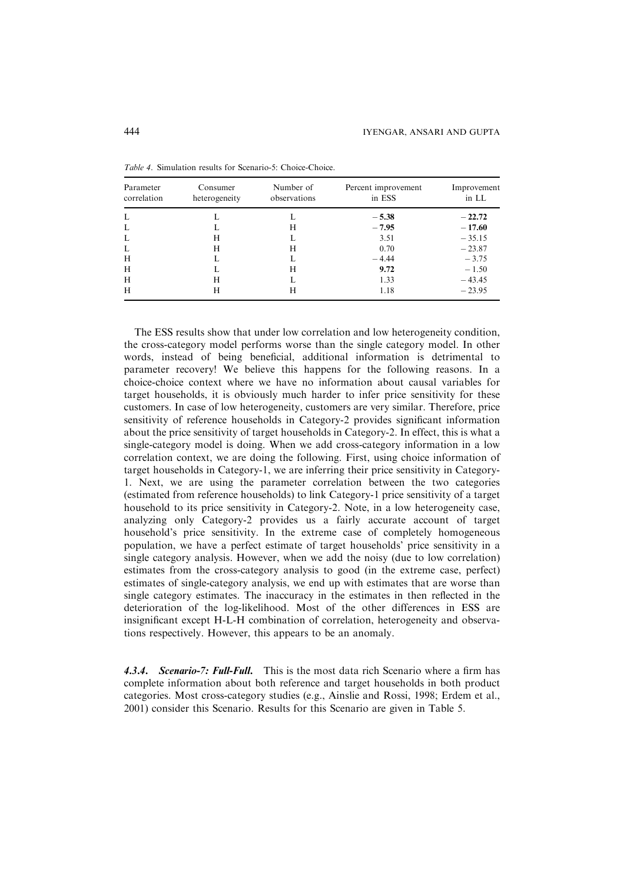| Parameter<br>correlation | Consumer<br>heterogeneity | Number of<br>observations | Percent improvement<br>in ESS | Improvement<br>in LL |
|--------------------------|---------------------------|---------------------------|-------------------------------|----------------------|
| L                        |                           |                           | $-5.38$                       | $-22.72$             |
| L                        |                           | Н                         | $-7.95$                       | $-17.60$             |
| L                        | H                         |                           | 3.51                          | $-35.15$             |
| L                        | H                         | H                         | 0.70                          | $-23.87$             |
| H                        |                           |                           | $-4.44$                       | $-3.75$              |
| H                        |                           | H                         | 9.72                          | $-1.50$              |
| H                        | H                         |                           | 1.33                          | $-43.45$             |
| H                        | H                         | H                         | 1.18                          | $-23.95$             |

Table 4. Simulation results for Scenario-5: Choice-Choice.

The ESS results show that under low correlation and low heterogeneity condition, the cross-category model performs worse than the single category model. In other words, instead of being beneficial, additional information is detrimental to parameter recovery! We believe this happens for the following reasons. In a choice-choice context where we have no information about causal variables for target households, it is obviously much harder to infer price sensitivity for these customers. In case of low heterogeneity, customers are very similar. Therefore, price sensitivity of reference households in Category-2 provides significant information about the price sensitivity of target households in Category-2. In effect, this is what a single-category model is doing. When we add cross-category information in a low correlation context, we are doing the following. First, using choice information of target households in Category-1, we are inferring their price sensitivity in Category-1. Next, we are using the parameter correlation between the two categories (estimated from reference households) to link Category-1 price sensitivity of a target household to its price sensitivity in Category-2. Note, in a low heterogeneity case, analyzing only Category-2 provides us a fairly accurate account of target household's price sensitivity. In the extreme case of completely homogeneous population, we have a perfect estimate of target households' price sensitivity in a single category analysis. However, when we add the noisy (due to low correlation) estimates from the cross-category analysis to good (in the extreme case, perfect) estimates of single-category analysis, we end up with estimates that are worse than single category estimates. The inaccuracy in the estimates in then reflected in the deterioration of the log-likelihood. Most of the other differences in ESS are insignificant except H-L-H combination of correlation, heterogeneity and observations respectively. However, this appears to be an anomaly.

4.3.4. Scenario-7: Full-Full. This is the most data rich Scenario where a firm has complete information about both reference and target households in both product categories. Most cross-category studies (e.g., Ainslie and Rossi, 1998; Erdem et al., 2001) consider this Scenario. Results for this Scenario are given in Table 5.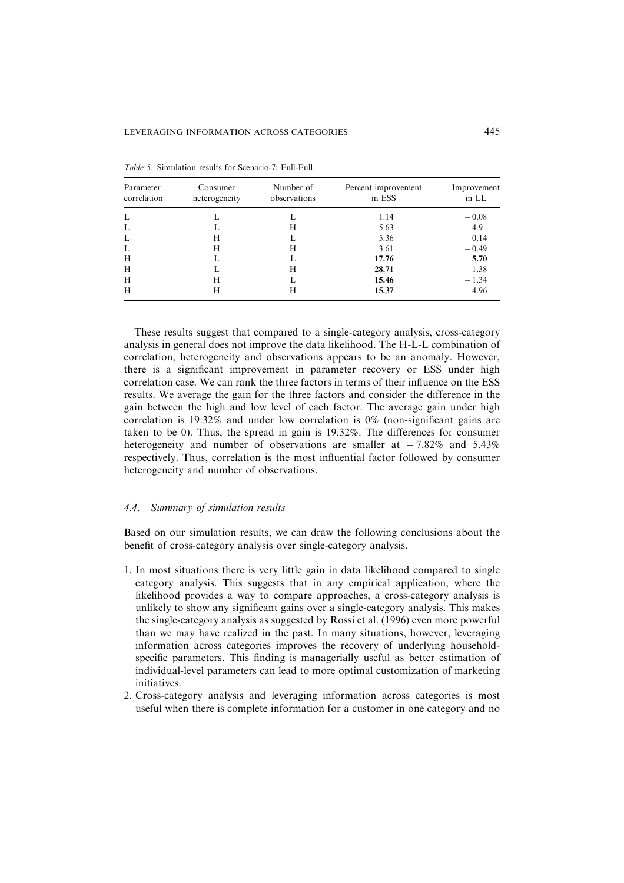| Parameter<br>correlation | Consumer<br>heterogeneity | Number of<br>observations | Percent improvement<br>in ESS | Improvement<br>in LL |
|--------------------------|---------------------------|---------------------------|-------------------------------|----------------------|
| L                        |                           |                           | 1.14                          | $-0.08$              |
| L                        |                           | Н                         | 5.63                          | $-4.9$               |
| L                        | H                         |                           | 5.36                          | 0.14                 |
| L                        | Н                         | H                         | 3.61                          | $-0.49$              |
| H                        |                           |                           | 17.76                         | 5.70                 |
| H                        |                           | H                         | 28.71                         | 1.38                 |
| H                        | Н                         |                           | 15.46                         | $-1.34$              |
| H                        | Н                         | H                         | 15.37                         | $-4.96$              |

Table 5. Simulation results for Scenario-7: Full-Full.

These results suggest that compared to a single-category analysis, cross-category analysis in general does not improve the data likelihood. The H-L-L combination of correlation, heterogeneity and observations appears to be an anomaly. However, there is a significant improvement in parameter recovery or ESS under high correlation case. We can rank the three factors in terms of their influence on the ESS results. We average the gain for the three factors and consider the difference in the gain between the high and low level of each factor. The average gain under high correlation is 19.32% and under low correlation is 0% (non-significant gains are taken to be 0). Thus, the spread in gain is 19.32%. The differences for consumer heterogeneity and number of observations are smaller at  $-7.82\%$  and 5.43% respectively. Thus, correlation is the most influential factor followed by consumer heterogeneity and number of observations.

### 4.4. Summary of simulation results

Based on our simulation results, we can draw the following conclusions about the benefit of cross-category analysis over single-category analysis.

- 1. In most situations there is very little gain in data likelihood compared to single category analysis. This suggests that in any empirical application, where the likelihood provides a way to compare approaches, a cross-category analysis is unlikely to show any significant gains over a single-category analysis. This makes the single-category analysis as suggested by Rossi et al. (1996) even more powerful than we may have realized in the past. In many situations, however, leveraging information across categories improves the recovery of underlying householdspecific parameters. This finding is managerially useful as better estimation of individual-level parameters can lead to more optimal customization of marketing initiatives.
- 2. Cross-category analysis and leveraging information across categories is most useful when there is complete information for a customer in one category and no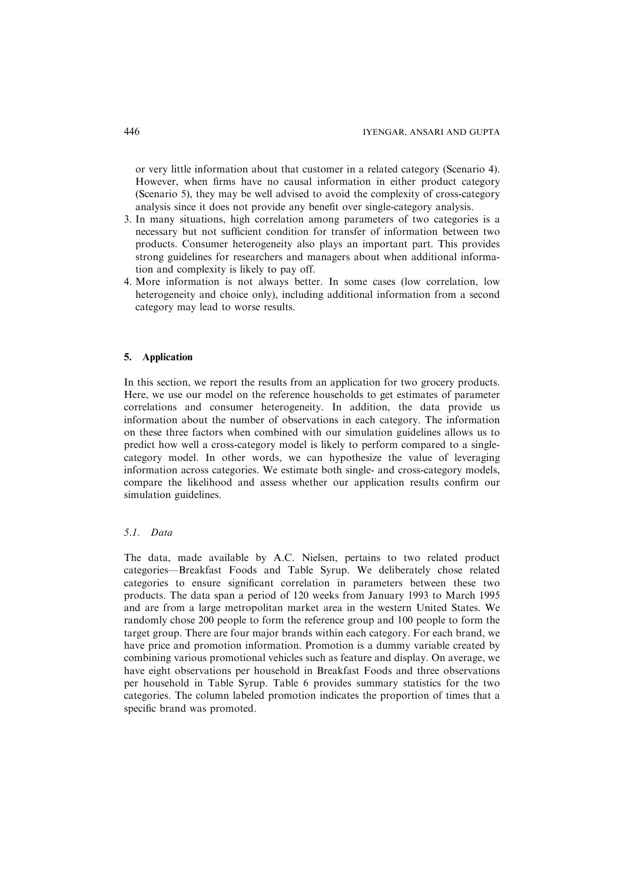or very little information about that customer in a related category (Scenario 4). However, when firms have no causal information in either product category (Scenario 5), they may be well advised to avoid the complexity of cross-category analysis since it does not provide any benefit over single-category analysis.

- 3. In many situations, high correlation among parameters of two categories is a necessary but not sufficient condition for transfer of information between two products. Consumer heterogeneity also plays an important part. This provides strong guidelines for researchers and managers about when additional information and complexity is likely to pay off.
- 4. More information is not always better. In some cases (low correlation, low heterogeneity and choice only), including additional information from a second category may lead to worse results.

## 5. Application

In this section, we report the results from an application for two grocery products. Here, we use our model on the reference households to get estimates of parameter correlations and consumer heterogeneity. In addition, the data provide us information about the number of observations in each category. The information on these three factors when combined with our simulation guidelines allows us to predict how well a cross-category model is likely to perform compared to a singlecategory model. In other words, we can hypothesize the value of leveraging information across categories. We estimate both single- and cross-category models, compare the likelihood and assess whether our application results confirm our simulation guidelines.

## 5.1. Data

The data, made available by A.C. Nielsen, pertains to two related product categories—Breakfast Foods and Table Syrup. We deliberately chose related categories to ensure significant correlation in parameters between these two products. The data span a period of 120 weeks from January 1993 to March 1995 and are from a large metropolitan market area in the western United States. We randomly chose 200 people to form the reference group and 100 people to form the target group. There are four major brands within each category. For each brand, we have price and promotion information. Promotion is a dummy variable created by combining various promotional vehicles such as feature and display. On average, we have eight observations per household in Breakfast Foods and three observations per household in Table Syrup. Table 6 provides summary statistics for the two categories. The column labeled promotion indicates the proportion of times that a specific brand was promoted.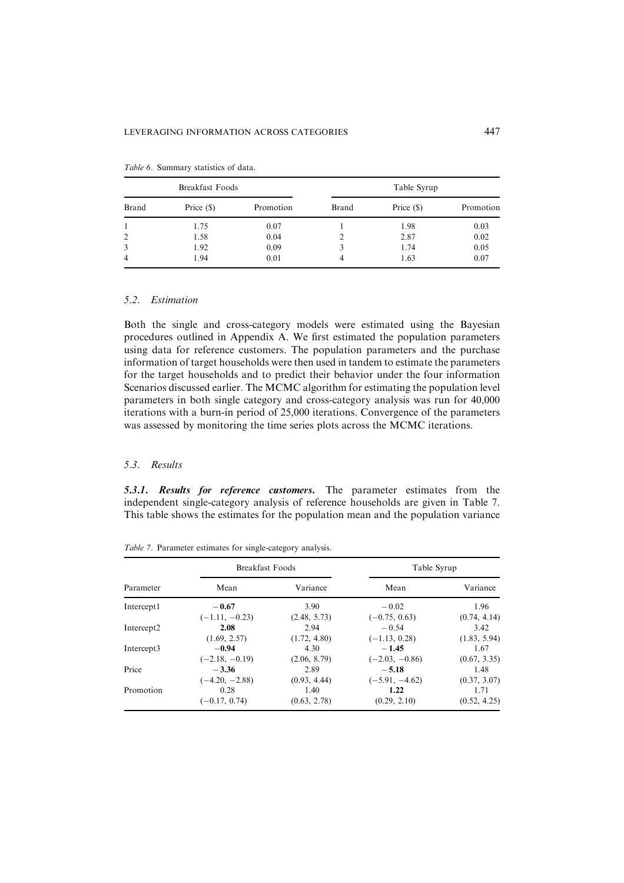| <b>Breakfast Foods</b> |             |           |              | Table Syrup  |           |
|------------------------|-------------|-----------|--------------|--------------|-----------|
| <b>Brand</b>           | Price $(S)$ | Promotion | <b>Brand</b> | Price $(\$)$ | Promotion |
|                        | 1.75        | 0.07      |              | 1.98         | 0.03      |
| 2                      | 1.58        | 0.04      |              | 2.87         | 0.02      |
| 3                      | 1.92        | 0.09      |              | 1.74         | 0.05      |
| $\overline{4}$         | 1.94        | 0.01      |              | 1.63         | 0.07      |

#### 5.2. Estimation

Both the single and cross-category models were estimated using the Bayesian procedures outlined in Appendix A. We first estimated the population parameters using data for reference customers. The population parameters and the purchase information of target households were then used in tandem to estimate the parameters for the target households and to predict their behavior under the four information Scenarios discussed earlier. The MCMC algorithm for estimating the population level parameters in both single category and cross-category analysis was run for 40,000 iterations with a burn-in period of 25,000 iterations. Convergence of the parameters was assessed by monitoring the time series plots across the MCMC iterations.

## 5.3. Results

5.3.1. Results for reference customers. The parameter estimates from the independent single-category analysis of reference households are given in Table 7. This table shows the estimates for the population mean and the population variance

|            |                  | <b>Breakfast Foods</b> |                  | Table Syrup  |
|------------|------------------|------------------------|------------------|--------------|
| Parameter  | Mean             | Variance               | Mean             | Variance     |
| Intercept1 | $-0.67$          | 3.90                   | $-0.02$          | 1.96         |
|            | $(-1.11, -0.23)$ | (2.48, 5.73)           | $(-0.75, 0.63)$  | (0.74, 4.14) |
| Intercept2 | 2.08             | 2.94                   | $-0.54$          | 3.42         |
|            | (1.69, 2.57)     | (1.72, 4.80)           | $(-1.13, 0.28)$  | (1.83, 5.94) |
| Intercept3 | $-0.94$          | 4.30                   | $-1.45$          | 1.67         |
|            | $(-2.18, -0.19)$ | (2.06, 8.79)           | $(-2.03, -0.86)$ | (0.67, 3.35) |
| Price      | $-3.36$          | 2.89                   | $-5.18$          | 1.48         |
|            | $(-4.20, -2.88)$ | (0.93, 4.44)           | $(-5.91, -4.62)$ | (0.37, 3.07) |
| Promotion  | 0.28             | 1.40                   | 1.22             | 1.71         |
|            | $(-0.17, 0.74)$  | (0.63, 2.78)           | (0.29, 2.10)     | (0.52, 4.25) |

Table 7. Parameter estimates for single-category analysis.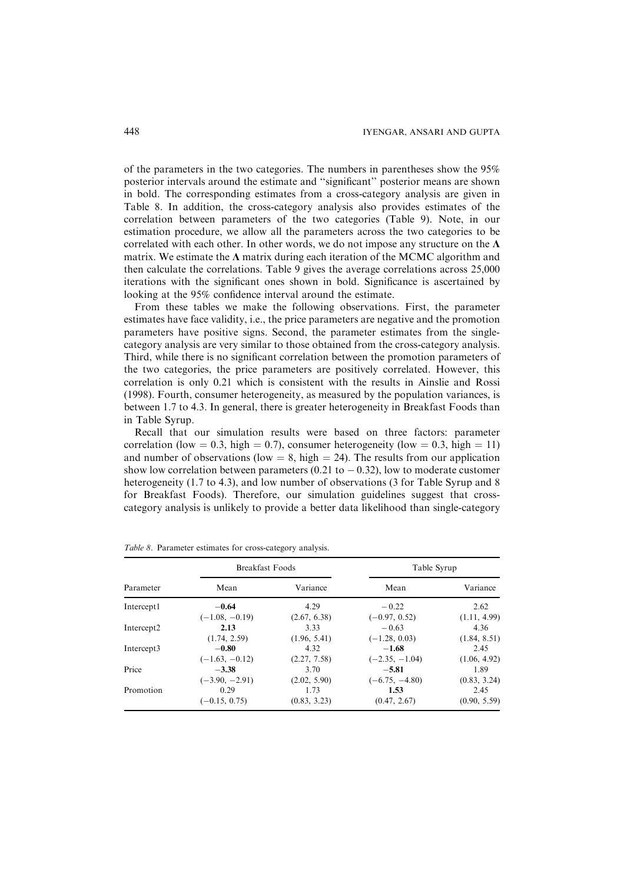of the parameters in the two categories. The numbers in parentheses show the 95% posterior intervals around the estimate and ''significant'' posterior means are shown in bold. The corresponding estimates from a cross-category analysis are given in Table 8. In addition, the cross-category analysis also provides estimates of the correlation between parameters of the two categories (Table 9). Note, in our estimation procedure, we allow all the parameters across the two categories to be correlated with each other. In other words, we do not impose any structure on the  $\Lambda$ matrix. We estimate the  $\Lambda$  matrix during each iteration of the MCMC algorithm and then calculate the correlations. Table 9 gives the average correlations across 25,000 iterations with the significant ones shown in bold. Significance is ascertained by looking at the 95% confidence interval around the estimate.

From these tables we make the following observations. First, the parameter estimates have face validity, i.e., the price parameters are negative and the promotion parameters have positive signs. Second, the parameter estimates from the singlecategory analysis are very similar to those obtained from the cross-category analysis. Third, while there is no significant correlation between the promotion parameters of the two categories, the price parameters are positively correlated. However, this correlation is only 0.21 which is consistent with the results in Ainslie and Rossi (1998). Fourth, consumer heterogeneity, as measured by the population variances, is between 1.7 to 4.3. In general, there is greater heterogeneity in Breakfast Foods than in Table Syrup.

Recall that our simulation results were based on three factors: parameter correlation (low = 0.3, high = 0.7), consumer heterogeneity (low = 0.3, high = 11) and number of observations (low  $= 8$ , high  $= 24$ ). The results from our application show low correlation between parameters (0.21 to  $-$  0.32), low to moderate customer heterogeneity (1.7 to 4.3), and low number of observations (3 for Table Syrup and 8 for Breakfast Foods). Therefore, our simulation guidelines suggest that crosscategory analysis is unlikely to provide a better data likelihood than single-category

|            | <b>Breakfast Foods</b> |              | Table Syrup      |              |
|------------|------------------------|--------------|------------------|--------------|
| Parameter  | Mean                   | Variance     | Mean             | Variance     |
| Intercept1 | $-0.64$                | 4.29         | $-0.22$          | 2.62         |
|            | $(-1.08, -0.19)$       | (2.67, 6.38) | $(-0.97, 0.52)$  | (1.11, 4.99) |
| Intercept2 | 2.13                   | 3.33         | $-0.63$          | 4.36         |
|            | (1.74, 2.59)           | (1.96, 5.41) | $(-1.28, 0.03)$  | (1.84, 8.51) |
| Intercept3 | $-0.80$                | 4.32         | $-1.68$          | 2.45         |
|            | $(-1.63, -0.12)$       | (2.27, 7.58) | $(-2.35, -1.04)$ | (1.06, 4.92) |
| Price      | $-3.38$                | 3.70         | $-5.81$          | 1.89         |
|            | $(-3.90, -2.91)$       | (2.02, 5.90) | $(-6.75, -4.80)$ | (0.83, 3.24) |
| Promotion  | 0.29                   | 1.73         | 1.53             | 2.45         |
|            | $(-0.15, 0.75)$        | (0.83, 3.23) | (0.47, 2.67)     | (0.90, 5.59) |

Table 8. Parameter estimates for cross-category analysis.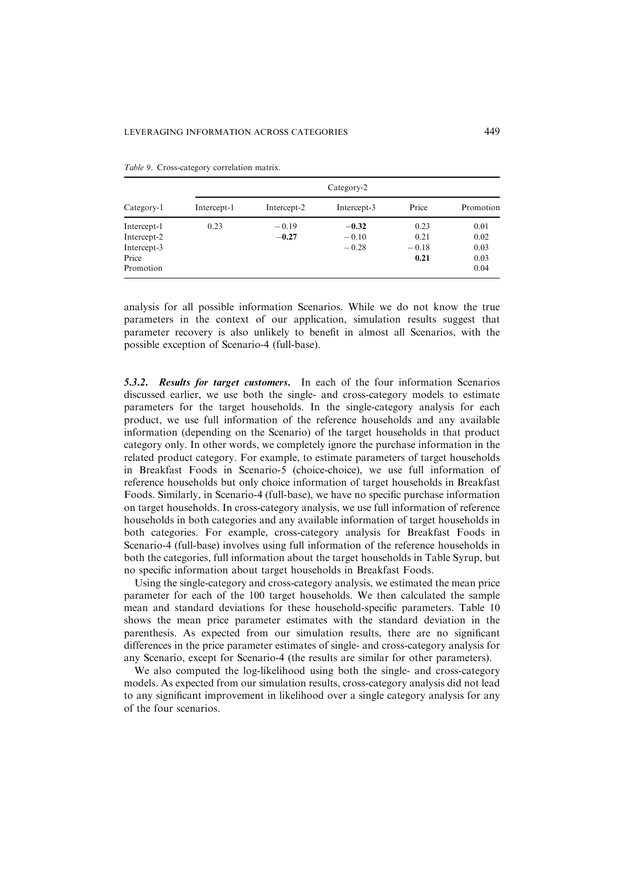| Category-1  |             | Category-2  |             |         |           |  |  |
|-------------|-------------|-------------|-------------|---------|-----------|--|--|
|             | Intercept-1 | Intercept-2 | Intercept-3 | Price   | Promotion |  |  |
| Intercept-1 | 0.23        | $-0.19$     | $-0.32$     | 0.23    | 0.01      |  |  |
| Intercept-2 |             | $-0.27$     | $-0.10$     | 0.21    | 0.02      |  |  |
| Intercept-3 |             |             | $-0.28$     | $-0.18$ | 0.03      |  |  |
| Price       |             |             |             | 0.21    | 0.03      |  |  |
| Promotion   |             |             |             |         | 0.04      |  |  |

Table 9. Cross-category correlation matrix.

analysis for all possible information Scenarios. While we do not know the true parameters in the context of our application, simulation results suggest that parameter recovery is also unlikely to benefit in almost all Scenarios, with the possible exception of Scenario-4 (full-base).

5.3.2. Results for target customers. In each of the four information Scenarios discussed earlier, we use both the single- and cross-category models to estimate parameters for the target households. In the single-category analysis for each product, we use full information of the reference households and any available information (depending on the Scenario) of the target households in that product category only. In other words, we completely ignore the purchase information in the related product category. For example, to estimate parameters of target households in Breakfast Foods in Scenario-5 (choice-choice), we use full information of reference households but only choice information of target households in Breakfast Foods. Similarly, in Scenario-4 (full-base), we have no specific purchase information on target households. In cross-category analysis, we use full information of reference households in both categories and any available information of target households in both categories. For example, cross-category analysis for Breakfast Foods in Scenario-4 (full-base) involves using full information of the reference households in both the categories, full information about the target households in Table Syrup, but no specific information about target households in Breakfast Foods.

Using the single-category and cross-category analysis, we estimated the mean price parameter for each of the 100 target households. We then calculated the sample mean and standard deviations for these household-specific parameters. Table 10 shows the mean price parameter estimates with the standard deviation in the parenthesis. As expected from our simulation results, there are no significant differences in the price parameter estimates of single- and cross-category analysis for any Scenario, except for Scenario-4 (the results are similar for other parameters).

We also computed the log-likelihood using both the single- and cross-category models. As expected from our simulation results, cross-category analysis did not lead to any significant improvement in likelihood over a single category analysis for any of the four scenarios.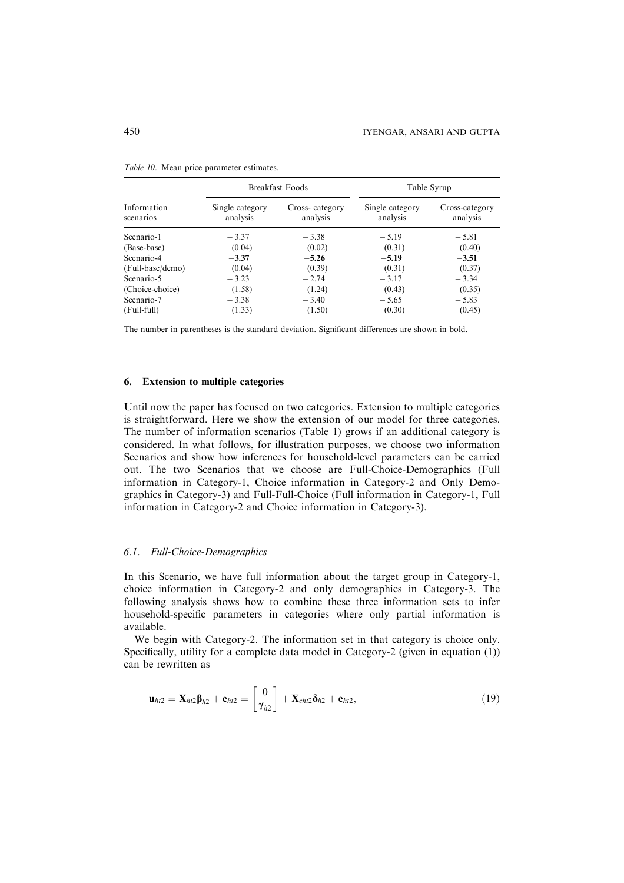|                          | <b>Breakfast Foods</b>      |                            | Table Syrup                 |                            |
|--------------------------|-----------------------------|----------------------------|-----------------------------|----------------------------|
| Information<br>scenarios | Single category<br>analysis | Cross-category<br>analysis | Single category<br>analysis | Cross-category<br>analysis |
| Scenario-1               | $-3.37$                     | $-3.38$                    | $-5.19$                     | $-5.81$                    |
| (Base-base)              | (0.04)                      | (0.02)                     | (0.31)                      | (0.40)                     |
| Scenario-4               | $-3.37$                     | $-5.26$                    | $-5.19$                     | $-3.51$                    |
| (Full-base/demo)         | (0.04)                      | (0.39)                     | (0.31)                      | (0.37)                     |
| Scenario-5               | $-3.23$                     | $-2.74$                    | $-3.17$                     | $-3.34$                    |
| (Choice-choice)          | (1.58)                      | (1.24)                     | (0.43)                      | (0.35)                     |
| Scenario-7               | $-3.38$                     | $-3.40$                    | $-5.65$                     | $-5.83$                    |
| (Full-full)              | (1.33)                      | (1.50)                     | (0.30)                      | (0.45)                     |



The number in parentheses is the standard deviation. Significant differences are shown in bold.

#### 6. Extension to multiple categories

Until now the paper has focused on two categories. Extension to multiple categories is straightforward. Here we show the extension of our model for three categories. The number of information scenarios (Table 1) grows if an additional category is considered. In what follows, for illustration purposes, we choose two information Scenarios and show how inferences for household-level parameters can be carried out. The two Scenarios that we choose are Full-Choice-Demographics (Full information in Category-1, Choice information in Category-2 and Only Demographics in Category-3) and Full-Full-Choice (Full information in Category-1, Full information in Category-2 and Choice information in Category-3).

### 6.1. Full-Choice-Demographics

In this Scenario, we have full information about the target group in Category-1, choice information in Category-2 and only demographics in Category-3. The following analysis shows how to combine these three information sets to infer household-specific parameters in categories where only partial information is available.

We begin with Category-2. The information set in that category is choice only. Specifically, utility for a complete data model in Category-2 (given in equation (1)) can be rewritten as

$$
\mathbf{u}_{h12} = \mathbf{X}_{h12}\mathbf{\beta}_{h2} + \mathbf{e}_{h12} = \begin{bmatrix} 0 \\ \gamma_{h2} \end{bmatrix} + \mathbf{X}_{ch12}\delta_{h2} + \mathbf{e}_{h12},
$$
\n(19)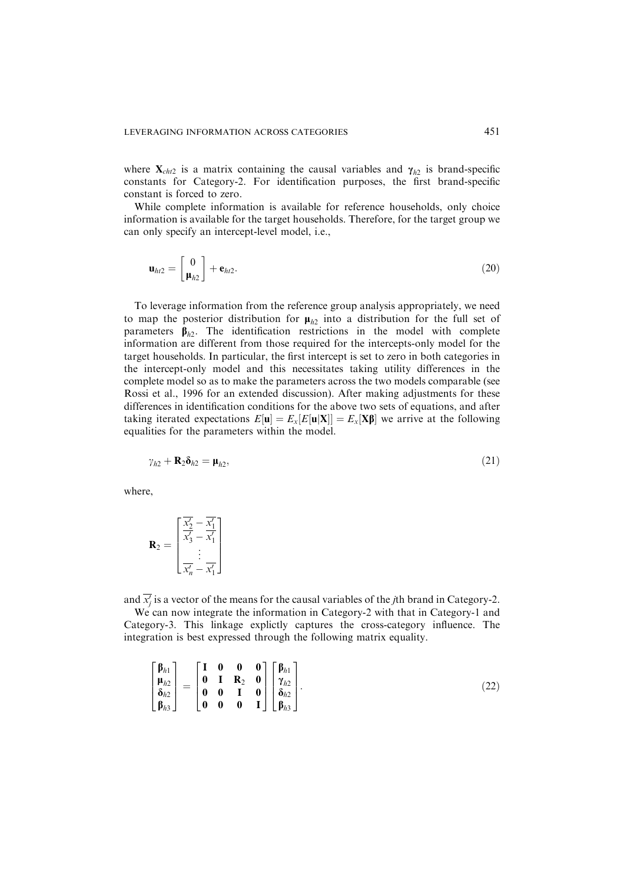where  $X_{ch2}$  is a matrix containing the causal variables and  $\gamma_{h2}$  is brand-specific constants for Category-2. For identification purposes, the first brand-specific constant is forced to zero.

While complete information is available for reference households, only choice information is available for the target households. Therefore, for the target group we can only specify an intercept-level model, i.e.,

$$
\mathbf{u}_{h12} = \begin{bmatrix} 0 \\ \mathbf{\mu}_{h2} \end{bmatrix} + \mathbf{e}_{h12}.
$$
 (20)

To leverage information from the reference group analysis appropriately, we need to map the posterior distribution for  $\mu_{h2}$  into a distribution for the full set of parameters  $\beta_{h2}$ . The identification restrictions in the model with complete information are different from those required for the intercepts-only model for the target households. In particular, the first intercept is set to zero in both categories in the intercept-only model and this necessitates taking utility differences in the complete model so as to make the parameters across the two models comparable (see Rossi et al., 1996 for an extended discussion). After making adjustments for these differences in identification conditions for the above two sets of equations, and after taking iterated expectations  $E[\mathbf{u}] = E_x[E[\mathbf{u}|\mathbf{X}]] = E_x[\mathbf{X}\mathbf{\beta}]$  we arrive at the following equalities for the parameters within the model.

$$
\gamma_{h2} + \mathbf{R}_2 \delta_{h2} = \mathbf{\mu}_{h2},\tag{21}
$$

where,

$$
\mathbf{R}_2 = \begin{bmatrix} \frac{\overline{x_2'} - \overline{x_1'}}{\overline{x_3'} - \overline{x_1'}} \\ \vdots \\ \frac{\overline{x_n'} - \overline{x_1'}}{\overline{x_n'} - \overline{x_1'}} \end{bmatrix}
$$

and  $\overline{x_j'}$  is a vector of the means for the causal variables of the *j*th brand in Category-2.

We can now integrate the information in Category-2 with that in Category-1 and Category-3. This linkage explictly captures the cross-category influence. The integration is best expressed through the following matrix equality.

$$
\begin{bmatrix} \beta_{h1} \\ \mu_{h2} \\ \delta_{h2} \\ \beta_{h3} \end{bmatrix} = \begin{bmatrix} \mathbf{I} & \mathbf{0} & \mathbf{0} & \mathbf{0} \\ \mathbf{0} & \mathbf{I} & \mathbf{R}_2 & \mathbf{0} \\ \mathbf{0} & \mathbf{0} & \mathbf{I} & \mathbf{0} \\ \mathbf{0} & \mathbf{0} & \mathbf{0} & \mathbf{I} \end{bmatrix} \begin{bmatrix} \beta_{h1} \\ \gamma_{h2} \\ \delta_{h2} \\ \beta_{h3} \end{bmatrix} .
$$
 (22)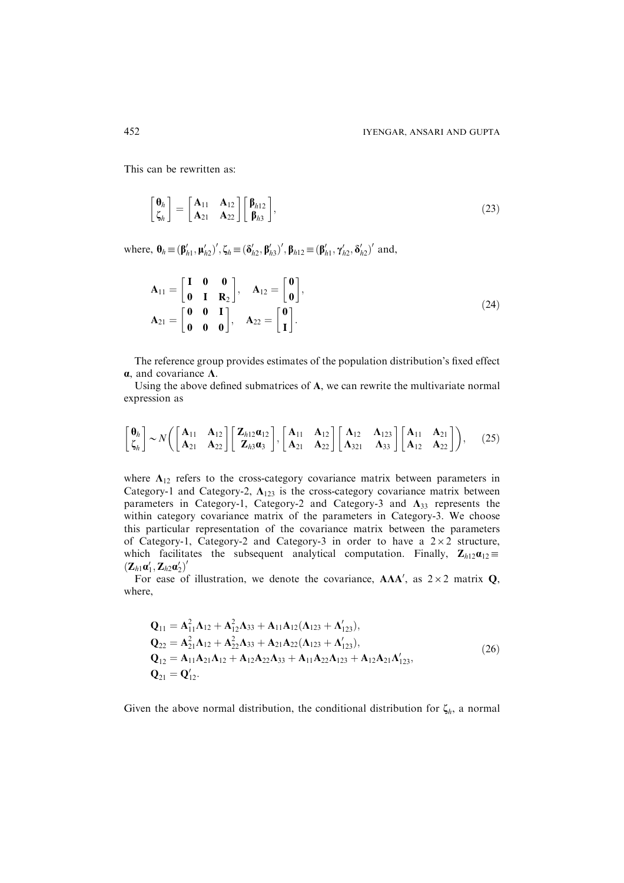This can be rewritten as:

$$
\begin{bmatrix} \mathbf{\theta}_h \\ \zeta_h \end{bmatrix} = \begin{bmatrix} \mathbf{A}_{11} & \mathbf{A}_{12} \\ \mathbf{A}_{21} & \mathbf{A}_{22} \end{bmatrix} \begin{bmatrix} \mathbf{\beta}_{h12} \\ \mathbf{\beta}_{h3} \end{bmatrix},
$$
\n(23)

where,  $\mathbf{\theta}_h \equiv (\mathbf{\beta}_{h1}', \mathbf{\mu}_{h2}')', \zeta_h \equiv (\delta_{h2}', \beta_{h3}')', \beta_{h12} \equiv (\beta_{h1}', \gamma_{h2}', \delta_{h2}')'$  and,

$$
\mathbf{A}_{11} = \begin{bmatrix} \mathbf{I} & \mathbf{0} & \mathbf{0} \\ \mathbf{0} & \mathbf{I} & \mathbf{R}_2 \end{bmatrix}, \quad \mathbf{A}_{12} = \begin{bmatrix} \mathbf{0} \\ \mathbf{0} \end{bmatrix},
$$
  

$$
\mathbf{A}_{21} = \begin{bmatrix} \mathbf{0} & \mathbf{0} & \mathbf{I} \\ \mathbf{0} & \mathbf{0} & \mathbf{0} \end{bmatrix}, \quad \mathbf{A}_{22} = \begin{bmatrix} \mathbf{0} \\ \mathbf{I} \end{bmatrix}.
$$
 (24)

The reference group provides estimates of the population distribution's fixed effect  $\alpha$ , and covariance  $\Lambda$ .

Using the above defined submatrices of **A**, we can rewrite the multivariate normal expression as

$$
\begin{bmatrix} \boldsymbol{\theta}_h \\ \zeta_h \end{bmatrix} \sim N \left( \begin{bmatrix} \mathbf{A}_{11} & \mathbf{A}_{12} \\ \mathbf{A}_{21} & \mathbf{A}_{22} \end{bmatrix} \begin{bmatrix} \mathbf{Z}_{h12} \boldsymbol{\alpha}_{12} \\ \mathbf{Z}_{h3} \boldsymbol{\alpha}_3 \end{bmatrix}, \begin{bmatrix} \mathbf{A}_{11} & \mathbf{A}_{12} \\ \mathbf{A}_{21} & \mathbf{A}_{22} \end{bmatrix} \begin{bmatrix} \mathbf{A}_{12} & \mathbf{A}_{123} \\ \mathbf{A}_{321} & \mathbf{A}_{33} \end{bmatrix} \begin{bmatrix} \mathbf{A}_{11} & \mathbf{A}_{21} \\ \mathbf{A}_{12} & \mathbf{A}_{22} \end{bmatrix} \right), \tag{25}
$$

where  $\Lambda_{12}$  refers to the cross-category covariance matrix between parameters in Category-1 and Category-2,  $\Lambda_{123}$  is the cross-category covariance matrix between parameters in Category-1, Category-2 and Category-3 and  $\Lambda_{33}$  represents the within category covariance matrix of the parameters in Category-3. We choose this particular representation of the covariance matrix between the parameters of Category-1, Category-2 and Category-3 in order to have a  $2 \times 2$  structure, which facilitates the subsequent analytical computation. Finally,  $\mathbf{Z}_{h12}\mathbf{\alpha}_{12}$  $(\mathbf{Z}_{h1}\boldsymbol{\alpha}_1', \mathbf{Z}_{h2}\boldsymbol{\alpha}_2')'$ 

For ease of illustration, we denote the covariance,  $A\Lambda A'$ , as  $2\times 2$  matrix Q, where,

$$
Q_{11} = A_{11}^2 A_{12} + A_{12}^2 A_{33} + A_{11} A_{12} (A_{123} + A'_{123}),
$$
  
\n
$$
Q_{22} = A_{21}^2 A_{12} + A_{22}^2 A_{33} + A_{21} A_{22} (A_{123} + A'_{123}),
$$
  
\n
$$
Q_{12} = A_{11} A_{21} A_{12} + A_{12} A_{22} A_{33} + A_{11} A_{22} A_{123} + A_{12} A_{21} A'_{123},
$$
  
\n
$$
Q_{21} = Q'_{12}.
$$
\n(26)

Given the above normal distribution, the conditional distribution for  $\zeta_h$ , a normal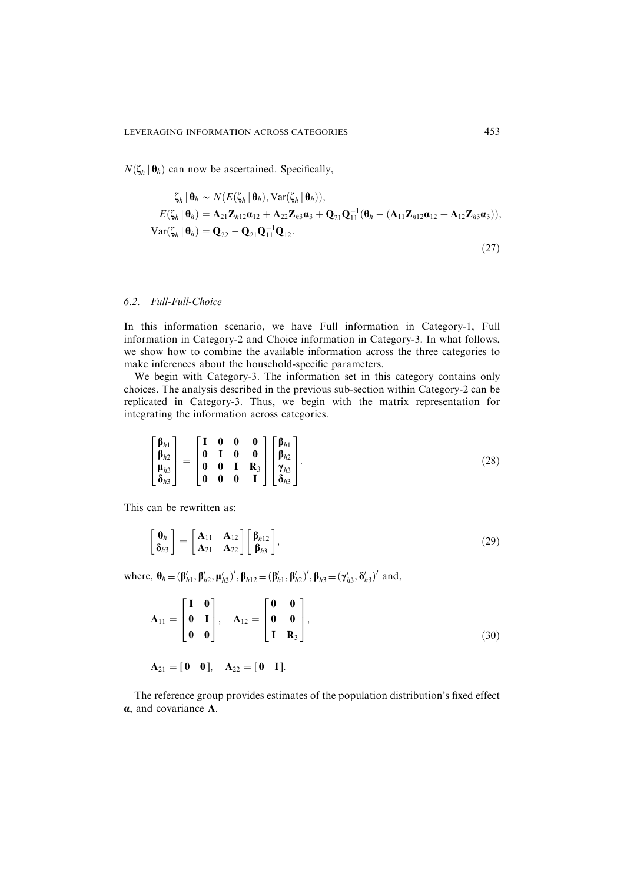$N(\zeta_h | \theta_h)$  can now be ascertained. Specifically,

$$
\zeta_h \mid \mathbf{\theta}_h \sim N(E(\zeta_h \mid \mathbf{\theta}_h), \text{Var}(\zeta_h \mid \mathbf{\theta}_h)),
$$
  
\n
$$
E(\zeta_h \mid \mathbf{\theta}_h) = \mathbf{A}_{21} \mathbf{Z}_{h12} \mathbf{\alpha}_{12} + \mathbf{A}_{22} \mathbf{Z}_{h3} \mathbf{\alpha}_3 + \mathbf{Q}_{21} \mathbf{Q}_{11}^{-1} (\mathbf{\theta}_h - (\mathbf{A}_{11} \mathbf{Z}_{h12} \mathbf{\alpha}_{12} + \mathbf{A}_{12} \mathbf{Z}_{h3} \mathbf{\alpha}_3)),
$$
  
\n
$$
\text{Var}(\zeta_h \mid \mathbf{\theta}_h) = \mathbf{Q}_{22} - \mathbf{Q}_{21} \mathbf{Q}_{11}^{-1} \mathbf{Q}_{12}.
$$
\n(27)

## 6.2. Full-Full-Choice

In this information scenario, we have Full information in Category-1, Full information in Category-2 and Choice information in Category-3. In what follows, we show how to combine the available information across the three categories to make inferences about the household-specific parameters.

We begin with Category-3. The information set in this category contains only choices. The analysis described in the previous sub-section within Category-2 can be replicated in Category-3. Thus, we begin with the matrix representation for integrating the information across categories.

$$
\begin{bmatrix} \beta_{h1} \\ \beta_{h2} \\ \mu_{h3} \\ \delta_{h3} \end{bmatrix} = \begin{bmatrix} \mathbf{I} & \mathbf{0} & \mathbf{0} & \mathbf{0} \\ \mathbf{0} & \mathbf{I} & \mathbf{0} & \mathbf{0} \\ \mathbf{0} & \mathbf{0} & \mathbf{I} & \mathbf{R}_3 \\ \mathbf{0} & \mathbf{0} & \mathbf{0} & \mathbf{I} \end{bmatrix} \begin{bmatrix} \beta_{h1} \\ \beta_{h2} \\ \gamma_{h3} \\ \delta_{h3} \end{bmatrix}.
$$
 (28)

This can be rewritten as:

$$
\begin{bmatrix} \mathbf{\theta}_h \\ \mathbf{\delta}_{h3} \end{bmatrix} = \begin{bmatrix} \mathbf{A}_{11} & \mathbf{A}_{12} \\ \mathbf{A}_{21} & \mathbf{A}_{22} \end{bmatrix} \begin{bmatrix} \mathbf{\beta}_{h12} \\ \mathbf{\beta}_{h3} \end{bmatrix},
$$
(29)

where,  $\mathbf{\theta}_h \equiv (\mathbf{\beta}_{h1}', \mathbf{\beta}_{h2}', \mathbf{\mu}_{h3}')', \mathbf{\beta}_{h12} \equiv (\mathbf{\beta}_{h1}', \mathbf{\beta}_{h2}')', \mathbf{\beta}_{h3} \equiv (\gamma_{h3}', \mathbf{\delta}_{h3}')'$  and,

$$
\mathbf{A}_{11} = \begin{bmatrix} \mathbf{I} & \mathbf{0} \\ \mathbf{0} & \mathbf{I} \\ \mathbf{0} & \mathbf{0} \end{bmatrix}, \quad \mathbf{A}_{12} = \begin{bmatrix} \mathbf{0} & \mathbf{0} \\ \mathbf{0} & \mathbf{0} \\ \mathbf{I} & \mathbf{R}_3 \end{bmatrix},
$$
(30)

 $A_{21} = [0 \ 0], \quad A_{22} = [0 \ 1].$ 

The reference group provides estimates of the population distribution's fixed effect  $\alpha$ , and covariance  $\Lambda$ .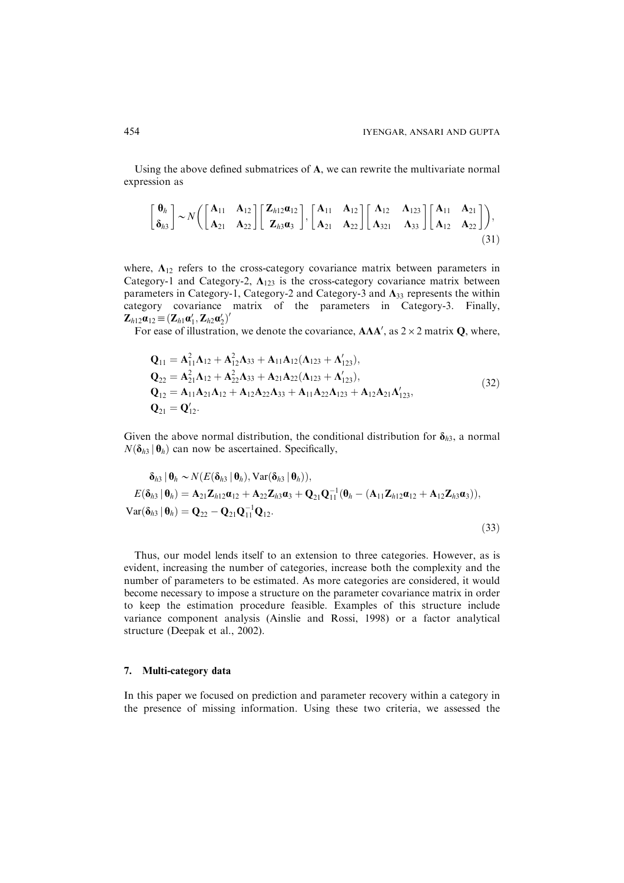Using the above defined submatrices of A, we can rewrite the multivariate normal expression as

$$
\begin{bmatrix}\n\boldsymbol{\theta}_h \\
\boldsymbol{\delta}_{h3}\n\end{bmatrix}\n\sim N\bigg(\begin{bmatrix}\n\mathbf{A}_{11} & \mathbf{A}_{12} \\
\mathbf{A}_{21} & \mathbf{A}_{22}\n\end{bmatrix}\n\begin{bmatrix}\n\mathbf{Z}_{h12}\boldsymbol{\alpha}_{12} \\
\mathbf{Z}_{h3}\boldsymbol{\alpha}_3\n\end{bmatrix},\n\begin{bmatrix}\n\mathbf{A}_{11} & \mathbf{A}_{12} \\
\mathbf{A}_{21} & \mathbf{A}_{22}\n\end{bmatrix}\n\begin{bmatrix}\n\mathbf{\Lambda}_{12} & \mathbf{\Lambda}_{123} \\
\mathbf{\Lambda}_{321} & \mathbf{\Lambda}_{33}\n\end{bmatrix}\n\begin{bmatrix}\n\mathbf{A}_{11} & \mathbf{A}_{21} \\
\mathbf{A}_{12} & \mathbf{A}_{22}\n\end{bmatrix}\n\bigg),\n(31)
$$

where,  $\Lambda_{12}$  refers to the cross-category covariance matrix between parameters in Category-1 and Category-2,  $\Lambda_{123}$  is the cross-category covariance matrix between parameters in Category-1, Category-2 and Category-3 and  $\Lambda_{33}$  represents the within category covariance matrix of the parameters in Category-3. Finally,  $\mathbf{Z}_{h12}\mathbf{\alpha}_{12} \equiv \left(\mathbf{Z}_{h1}\mathbf{\alpha}'_1, \mathbf{Z}_{h2}\mathbf{\alpha}'_2\right)'$ 

For ease of illustration, we denote the covariance,  $A\Lambda A'$ , as  $2\times 2$  matrix Q, where,

$$
Q_{11} = A_{11}^{2}A_{12} + A_{12}^{2}A_{33} + A_{11}A_{12}(A_{123} + A'_{123}),
$$
  
\n
$$
Q_{22} = A_{21}^{2}A_{12} + A_{22}^{2}A_{33} + A_{21}A_{22}(A_{123} + A'_{123}),
$$
  
\n
$$
Q_{12} = A_{11}A_{21}A_{12} + A_{12}A_{22}A_{33} + A_{11}A_{22}A_{123} + A_{12}A_{21}A'_{123},
$$
  
\n
$$
Q_{21} = Q'_{12}.
$$
\n(32)

Given the above normal distribution, the conditional distribution for  $\delta_{h3}$ , a normal  $N(\delta_{h3} | \theta_h)$  can now be ascertained. Specifically,

$$
\delta_{h3} | \boldsymbol{\theta}_h \sim N(E(\delta_{h3} | \boldsymbol{\theta}_h), \text{Var}(\boldsymbol{\delta}_{h3} | \boldsymbol{\theta}_h)),\nE(\delta_{h3} | \boldsymbol{\theta}_h) = \mathbf{A}_{21} \mathbf{Z}_{h12} \mathbf{a}_{12} + \mathbf{A}_{22} \mathbf{Z}_{h3} \mathbf{a}_3 + \mathbf{Q}_{21} \mathbf{Q}_{11}^{-1} (\boldsymbol{\theta}_h - (\mathbf{A}_{11} \mathbf{Z}_{h12} \mathbf{a}_{12} + \mathbf{A}_{12} \mathbf{Z}_{h3} \mathbf{a}_3)),\n\text{Var}(\delta_{h3} | \boldsymbol{\theta}_h) = \mathbf{Q}_{22} - \mathbf{Q}_{21} \mathbf{Q}_{11}^{-1} \mathbf{Q}_{12}.
$$
\n(33)

Thus, our model lends itself to an extension to three categories. However, as is evident, increasing the number of categories, increase both the complexity and the number of parameters to be estimated. As more categories are considered, it would become necessary to impose a structure on the parameter covariance matrix in order to keep the estimation procedure feasible. Examples of this structure include variance component analysis (Ainslie and Rossi, 1998) or a factor analytical structure (Deepak et al., 2002).

#### 7. Multi-category data

In this paper we focused on prediction and parameter recovery within a category in the presence of missing information. Using these two criteria, we assessed the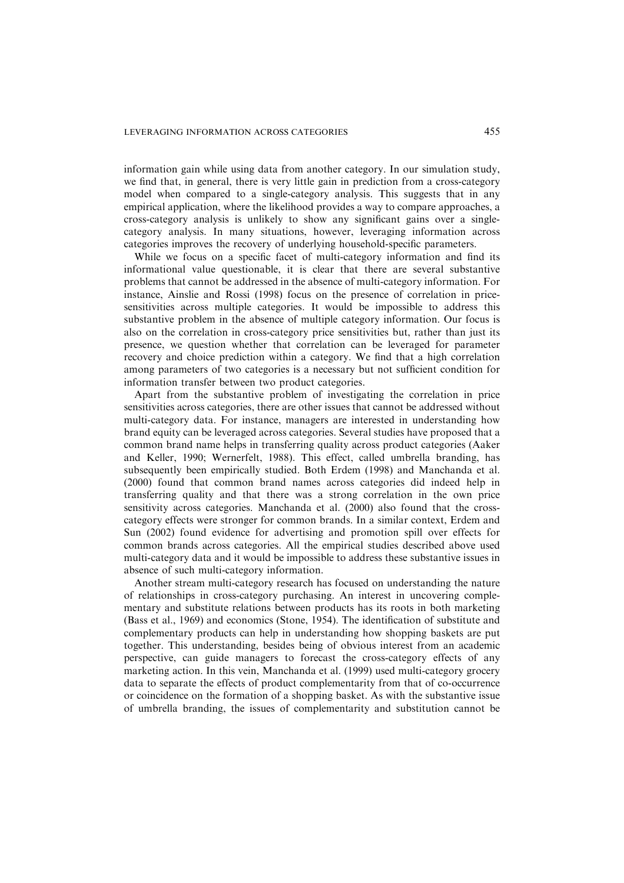information gain while using data from another category. In our simulation study, we find that, in general, there is very little gain in prediction from a cross-category model when compared to a single-category analysis. This suggests that in any empirical application, where the likelihood provides a way to compare approaches, a cross-category analysis is unlikely to show any significant gains over a singlecategory analysis. In many situations, however, leveraging information across categories improves the recovery of underlying household-specific parameters.

While we focus on a specific facet of multi-category information and find its informational value questionable, it is clear that there are several substantive problems that cannot be addressed in the absence of multi-category information. For instance, Ainslie and Rossi (1998) focus on the presence of correlation in pricesensitivities across multiple categories. It would be impossible to address this substantive problem in the absence of multiple category information. Our focus is also on the correlation in cross-category price sensitivities but, rather than just its presence, we question whether that correlation can be leveraged for parameter recovery and choice prediction within a category. We find that a high correlation among parameters of two categories is a necessary but not sufficient condition for information transfer between two product categories.

Apart from the substantive problem of investigating the correlation in price sensitivities across categories, there are other issues that cannot be addressed without multi-category data. For instance, managers are interested in understanding how brand equity can be leveraged across categories. Several studies have proposed that a common brand name helps in transferring quality across product categories (Aaker and Keller, 1990; Wernerfelt, 1988). This effect, called umbrella branding, has subsequently been empirically studied. Both Erdem (1998) and Manchanda et al. (2000) found that common brand names across categories did indeed help in transferring quality and that there was a strong correlation in the own price sensitivity across categories. Manchanda et al. (2000) also found that the crosscategory effects were stronger for common brands. In a similar context, Erdem and Sun (2002) found evidence for advertising and promotion spill over effects for common brands across categories. All the empirical studies described above used multi-category data and it would be impossible to address these substantive issues in absence of such multi-category information.

Another stream multi-category research has focused on understanding the nature of relationships in cross-category purchasing. An interest in uncovering complementary and substitute relations between products has its roots in both marketing (Bass et al., 1969) and economics (Stone, 1954). The identification of substitute and complementary products can help in understanding how shopping baskets are put together. This understanding, besides being of obvious interest from an academic perspective, can guide managers to forecast the cross-category effects of any marketing action. In this vein, Manchanda et al. (1999) used multi-category grocery data to separate the effects of product complementarity from that of co-occurrence or coincidence on the formation of a shopping basket. As with the substantive issue of umbrella branding, the issues of complementarity and substitution cannot be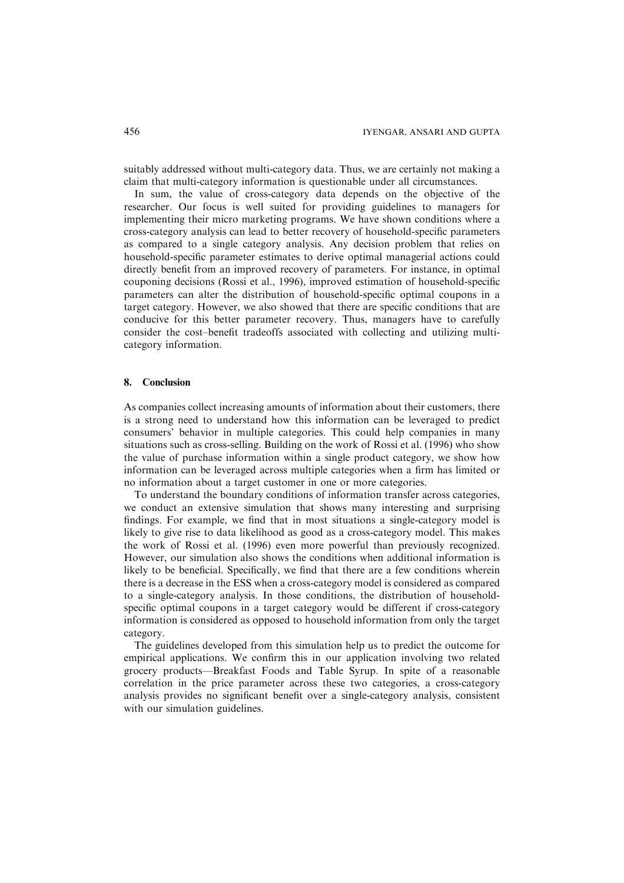suitably addressed without multi-category data. Thus, we are certainly not making a claim that multi-category information is questionable under all circumstances.

In sum, the value of cross-category data depends on the objective of the researcher. Our focus is well suited for providing guidelines to managers for implementing their micro marketing programs. We have shown conditions where a cross-category analysis can lead to better recovery of household-specific parameters as compared to a single category analysis. Any decision problem that relies on household-specific parameter estimates to derive optimal managerial actions could directly benefit from an improved recovery of parameters. For instance, in optimal couponing decisions (Rossi et al., 1996), improved estimation of household-specific parameters can alter the distribution of household-specific optimal coupons in a target category. However, we also showed that there are specific conditions that are conducive for this better parameter recovery. Thus, managers have to carefully consider the cost–benefit tradeoffs associated with collecting and utilizing multicategory information.

#### 8. Conclusion

As companies collect increasing amounts of information about their customers, there is a strong need to understand how this information can be leveraged to predict consumers' behavior in multiple categories. This could help companies in many situations such as cross-selling. Building on the work of Rossi et al. (1996) who show the value of purchase information within a single product category, we show how information can be leveraged across multiple categories when a firm has limited or no information about a target customer in one or more categories.

To understand the boundary conditions of information transfer across categories, we conduct an extensive simulation that shows many interesting and surprising findings. For example, we find that in most situations a single-category model is likely to give rise to data likelihood as good as a cross-category model. This makes the work of Rossi et al. (1996) even more powerful than previously recognized. However, our simulation also shows the conditions when additional information is likely to be beneficial. Specifically, we find that there are a few conditions wherein there is a decrease in the ESS when a cross-category model is considered as compared to a single-category analysis. In those conditions, the distribution of householdspecific optimal coupons in a target category would be different if cross-category information is considered as opposed to household information from only the target category.

The guidelines developed from this simulation help us to predict the outcome for empirical applications. We confirm this in our application involving two related grocery products—Breakfast Foods and Table Syrup. In spite of a reasonable correlation in the price parameter across these two categories, a cross-category analysis provides no significant benefit over a single-category analysis, consistent with our simulation guidelines.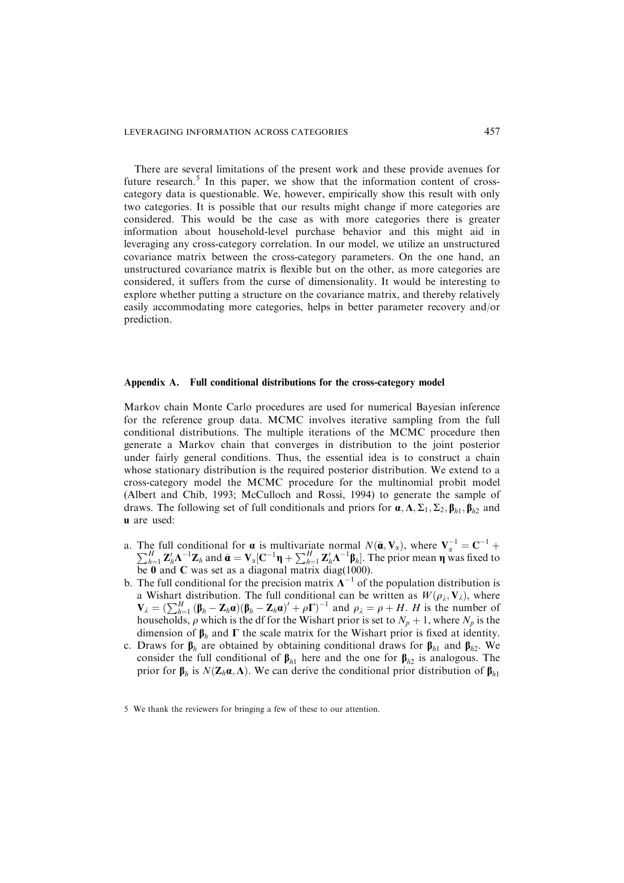There are several limitations of the present work and these provide avenues for future research.<sup>5</sup> In this paper, we show that the information content of crosscategory data is questionable. We, however, empirically show this result with only two categories. It is possible that our results might change if more categories are considered. This would be the case as with more categories there is greater information about household-level purchase behavior and this might aid in leveraging any cross-category correlation. In our model, we utilize an unstructured covariance matrix between the cross-category parameters. On the one hand, an unstructured covariance matrix is flexible but on the other, as more categories are considered, it suffers from the curse of dimensionality. It would be interesting to explore whether putting a structure on the covariance matrix, and thereby relatively easily accommodating more categories, helps in better parameter recovery and/or prediction.

#### Appendix A. Full conditional distributions for the cross-category model

Markov chain Monte Carlo procedures are used for numerical Bayesian inference for the reference group data. MCMC involves iterative sampling from the full conditional distributions. The multiple iterations of the MCMC procedure then generate a Markov chain that converges in distribution to the joint posterior under fairly general conditions. Thus, the essential idea is to construct a chain whose stationary distribution is the required posterior distribution. We extend to a cross-category model the MCMC procedure for the multinomial probit model (Albert and Chib, 1993; McCulloch and Rossi, 1994) to generate the sample of draws. The following set of full conditionals and priors for  $\alpha, \Lambda, \Sigma_1, \Sigma_2, \beta_{h1}, \beta_h$  and u are used:

- a. The full conditional for  $\boldsymbol{\alpha}$  is multivariate normal  $N(\bar{\boldsymbol{\alpha}}, \mathbf{V}_{\alpha})$ , where  $\mathbf{V}_{\alpha}^{-1} = \mathbf{C}^{-1} + \sum_{h=1}^{H} \mathbf{Z}_h' \mathbf{\Lambda}^{-1} \mathbf{Z}_h$  and  $\bar{\boldsymbol{\alpha}} = \mathbf{V}_{\alpha} [\mathbf{C}^{-1} \boldsymbol{\eta} + \sum_{h=1}^{H} \mathbf{Z}_h' \mathbf{\Lambda}^{-1} \boldsymbol{\beta}_h$ be  $0$  and  $C$  was set as a diagonal matrix diag(1000).
- b. The full conditional for the precision matrix  $A^{-1}$  of the population distribution is a Wishart distribution. The full conditional can be written as  $W(\rho_{\lambda}, \mathbf{V}_{\lambda})$ , where  $\mathbf{V}_{\lambda} = (\sum_{h=1}^{H} (\beta_h - \mathbf{Z}_h \mathbf{a})(\beta_h - \mathbf{Z}_h \mathbf{a})' + \rho \mathbf{\Gamma})^{-1}$  and  $\rho_{\lambda} = \rho + H$ . *H* is the number of households,  $\rho$  which is the df for the Wishart prior is set to  $N_p + 1$ , where  $N_p$  is the dimension of  $\beta_h$  and  $\Gamma$  the scale matrix for the Wishart prior is fixed at identity.
- c. Draws for  $\beta_h$  are obtained by obtaining conditional draws for  $\beta_{h1}$  and  $\beta_{h2}$ . We consider the full conditional of  $\beta_{h1}$  here and the one for  $\beta_{h2}$  is analogous. The prior for  $\beta_h$  is  $N(\mathbf{Z}_h \boldsymbol{\alpha}, \boldsymbol{\Lambda})$ . We can derive the conditional prior distribution of  $\beta_h$

<sup>5</sup> We thank the reviewers for bringing a few of these to our attention.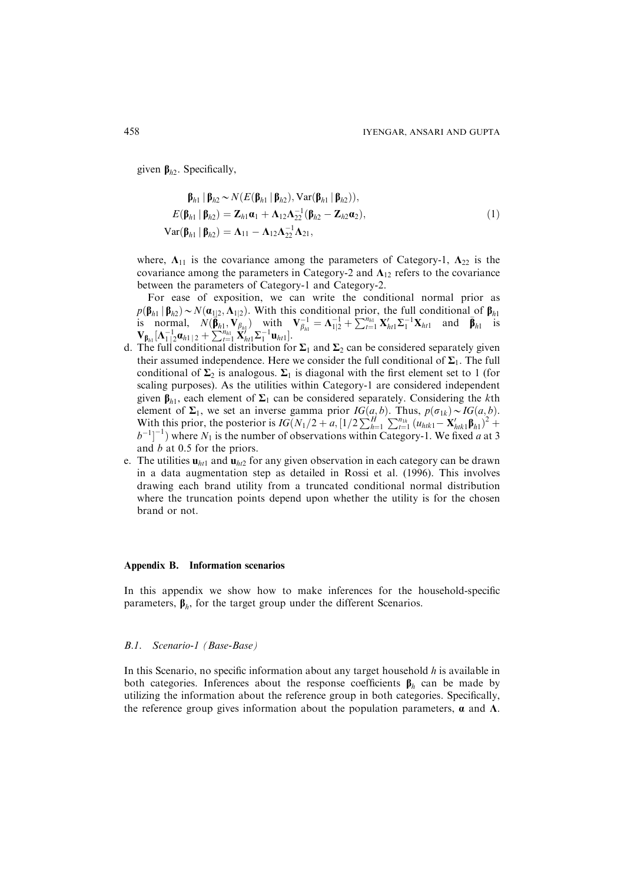given  $\beta_{h2}$ . Specifically,

$$
\beta_{h1} | \beta_{h2} \sim N(E(\beta_{h1} | \beta_{h2}), \text{Var}(\beta_{h1} | \beta_{h2})),
$$
  
\n
$$
E(\beta_{h1} | \beta_{h2}) = \mathbf{Z}_{h1} \mathbf{\alpha}_1 + \mathbf{\Lambda}_{12} \mathbf{\Lambda}_{22}^{-1} (\beta_{h2} - \mathbf{Z}_{h2} \mathbf{\alpha}_2),
$$
  
\n
$$
\text{Var}(\beta_{h1} | \beta_{h2}) = \mathbf{\Lambda}_{11} - \mathbf{\Lambda}_{12} \mathbf{\Lambda}_{22}^{-1} \mathbf{\Lambda}_{21},
$$
\n(1)

where,  $\Lambda_{11}$  is the covariance among the parameters of Category-1,  $\Lambda_{22}$  is the covariance among the parameters in Category-2 and  $\Lambda_{12}$  refers to the covariance between the parameters of Category-1 and Category-2.

For ease of exposition, we can write the conditional normal prior as  $p(\beta_{h1} | \beta_{h2}) \sim N(\mathbf{a}_{1|2}, \mathbf{\Lambda}_{1|2})$ . With this conditional prior, the full conditional of  $\beta_{h1}$ is normal,  $N(\vec{B}_{h1}, V_{\beta_{h1}})$  with  $V_{\beta_{h1}}^{-1} = \Lambda_{1/2}^{-1} + \sum_{t=1}^{n_{h1}} \mathbf{X}_{h1}^t \Sigma_1^{-1} \mathbf{X}_{h1}$  and  $\vec{B}_{h1}$  is  ${\bf V}_{\beta_{h1}}\left[ {\bf A}_{1\,|\,2}^{-1}{\bf \alpha}_{h1\,|\,2} + \sum_{t=1}^{n_{h1}} {\bf X}_{ht1}^{\prime}\Sigma_{1}^{-1}{\bf u}_{ht1} \right].$ 

- d. The full conditional distribution for  $\Sigma_1$  and  $\Sigma_2$  can be considered separately given their assumed independence. Here we consider the full conditional of  $\Sigma_1$ . The full conditional of  $\Sigma_2$  is analogous.  $\Sigma_1$  is diagonal with the first element set to 1 (for scaling purposes). As the utilities within Category-1 are considered independent given  $\beta_{h1}$ , each element of  $\Sigma_1$  can be considered separately. Considering the kth element of  $\Sigma_1$ , we set an inverse gamma prior  $IG(a, b)$ . Thus,  $p(\sigma_{1k}) \sim IG(a, b)$ . With this prior, the posterior is  $IG(N_1/2 + a, [1/2 \sum_{h=1}^{H} \sum_{t=1}^{n_{1h}} (u_{htk1} - X'_{htk1} \beta_{h1})^2 +$  $(b^{-1})^{-1}$ ) where  $N_1$  is the number of observations within Category-1. We fixed *a* at 3 and b at 0.5 for the priors.
- e. The utilities  $\mathbf{u}_{h1}$  and  $\mathbf{u}_{h2}$  for any given observation in each category can be drawn in a data augmentation step as detailed in Rossi et al. (1996). This involves drawing each brand utility from a truncated conditional normal distribution where the truncation points depend upon whether the utility is for the chosen brand or not.

#### Appendix B. Information scenarios

In this appendix we show how to make inferences for the household-specific parameters,  $\beta_h$ , for the target group under the different Scenarios.

#### B.1. Scenario-1 (Base-Base)

In this Scenario, no specific information about any target household  $h$  is available in both categories. Inferences about the response coefficients  $\beta_h$  can be made by utilizing the information about the reference group in both categories. Specifically, the reference group gives information about the population parameters,  $\alpha$  and  $\Lambda$ .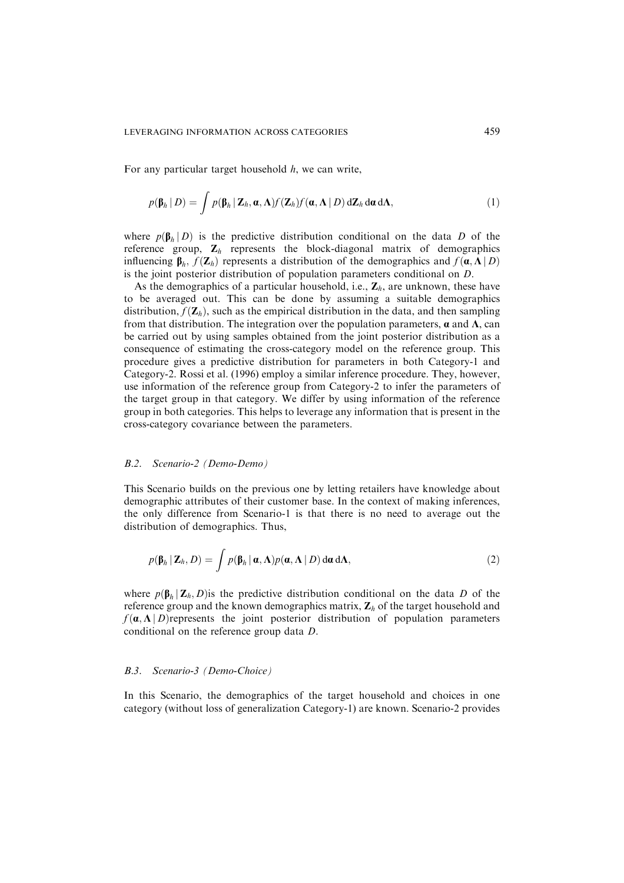For any particular target household h, we can write,

$$
p(\boldsymbol{\beta}_h | D) = \int p(\boldsymbol{\beta}_h | \mathbf{Z}_h, \boldsymbol{\alpha}, \boldsymbol{\Lambda}) f(\mathbf{Z}_h) f(\boldsymbol{\alpha}, \boldsymbol{\Lambda} | D) d\mathbf{Z}_h d\boldsymbol{\alpha} d\boldsymbol{\Lambda},
$$
\n(1)

where  $p(\beta_h | D)$  is the predictive distribution conditional on the data D of the reference group,  $\mathbb{Z}_h$  represents the block-diagonal matrix of demographics influencing  $\beta_h$ ,  $f(\mathbf{Z}_h)$  represents a distribution of the demographics and  $f(\mathbf{a}, \mathbf{\Lambda} | D)$ is the joint posterior distribution of population parameters conditional on D.

As the demographics of a particular household, i.e.,  $\mathbf{Z}_h$ , are unknown, these have to be averaged out. This can be done by assuming a suitable demographics distribution,  $f(\mathbf{Z}_h)$ , such as the empirical distribution in the data, and then sampling from that distribution. The integration over the population parameters,  $\alpha$  and  $\Lambda$ , can be carried out by using samples obtained from the joint posterior distribution as a consequence of estimating the cross-category model on the reference group. This procedure gives a predictive distribution for parameters in both Category-1 and Category-2. Rossi et al. (1996) employ a similar inference procedure. They, however, use information of the reference group from Category-2 to infer the parameters of the target group in that category. We differ by using information of the reference group in both categories. This helps to leverage any information that is present in the cross-category covariance between the parameters.

#### B.2. Scenario-2 (Demo-Demo)

This Scenario builds on the previous one by letting retailers have knowledge about demographic attributes of their customer base. In the context of making inferences, the only difference from Scenario-1 is that there is no need to average out the distribution of demographics. Thus,

$$
p(\boldsymbol{\beta}_h | \mathbf{Z}_h, D) = \int p(\boldsymbol{\beta}_h | \boldsymbol{\alpha}, \boldsymbol{\Lambda}) p(\boldsymbol{\alpha}, \boldsymbol{\Lambda} | D) \, d\boldsymbol{\alpha} \, d\boldsymbol{\Lambda},
$$
\n(2)

where  $p(\beta_h | \mathbf{Z}_h, D)$  is the predictive distribution conditional on the data D of the reference group and the known demographics matrix,  $\mathbf{Z}_h$  of the target household and  $f(\mathbf{a}, \mathbf{\Lambda} | D)$ represents the joint posterior distribution of population parameters conditional on the reference group data D.

#### B.3. Scenario-3 (Demo-Choice)

In this Scenario, the demographics of the target household and choices in one category (without loss of generalization Category-1) are known. Scenario-2 provides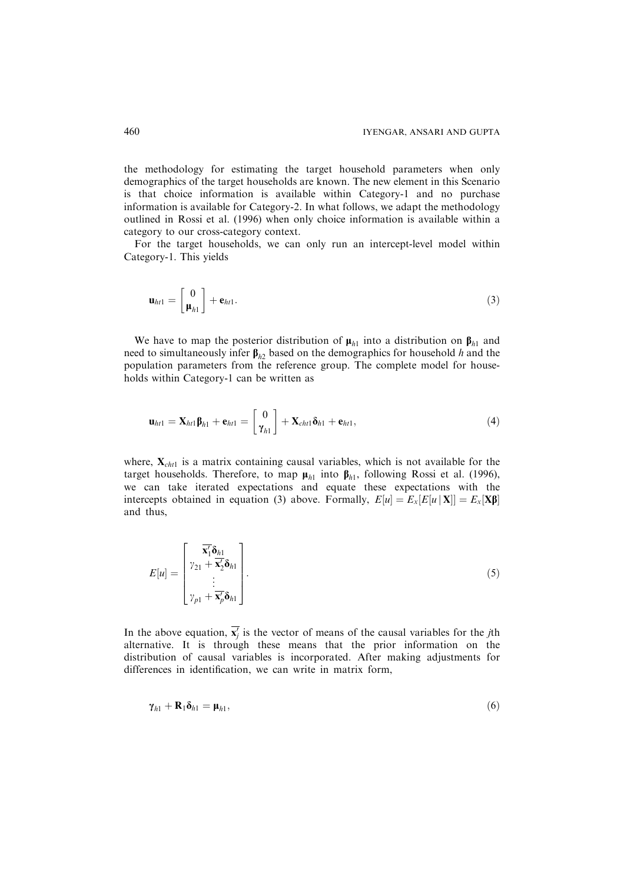the methodology for estimating the target household parameters when only demographics of the target households are known. The new element in this Scenario is that choice information is available within Category-1 and no purchase information is available for Category-2. In what follows, we adapt the methodology outlined in Rossi et al. (1996) when only choice information is available within a category to our cross-category context.

For the target households, we can only run an intercept-level model within Category-1. This yields

$$
\mathbf{u}_{h1} = \begin{bmatrix} 0 \\ \mathbf{\mu}_{h1} \end{bmatrix} + \mathbf{e}_{h1}.
$$
 (3)

We have to map the posterior distribution of  $\mu_{h1}$  into a distribution on  $\beta_{h1}$  and need to simultaneously infer  $\beta_{h2}$  based on the demographics for household h and the population parameters from the reference group. The complete model for households within Category-1 can be written as

$$
\mathbf{u}_{h1} = \mathbf{X}_{h1} \boldsymbol{\beta}_{h1} + \mathbf{e}_{h1} = \begin{bmatrix} 0 \\ \gamma_{h1} \end{bmatrix} + \mathbf{X}_{ch1} \boldsymbol{\delta}_{h1} + \mathbf{e}_{h1}, \qquad (4)
$$

where,  $\mathbf{X}_{ch1}$  is a matrix containing causal variables, which is not available for the target households. Therefore, to map  $\mu_{h1}$  into  $\beta_{h1}$ , following Rossi et al. (1996), we can take iterated expectations and equate these expectations with the intercepts obtained in equation (3) above. Formally,  $E[u] = E_x[E[u \mid \mathbf{X}]] = E_x[\mathbf{X}\mathbf{\beta}]$ and thus,

$$
E[u] = \begin{bmatrix} \overline{\mathbf{x}_1'} \underline{\delta}_{h1} \\ \gamma_{21} + \overline{\mathbf{x}_2'} \underline{\delta}_{h1} \\ \vdots \\ \gamma_{p1} + \overline{\mathbf{x}_p'} \underline{\delta}_{h1} \end{bmatrix} .
$$
 (5)

In the above equation,  $\overline{x'_j}$  is the vector of means of the causal variables for the *j*th alternative. It is through these means that the prior information on the distribution of causal variables is incorporated. After making adjustments for differences in identification, we can write in matrix form,

$$
\gamma_{h1} + \mathbf{R}_1 \delta_{h1} = \mathbf{\mu}_{h1},\tag{6}
$$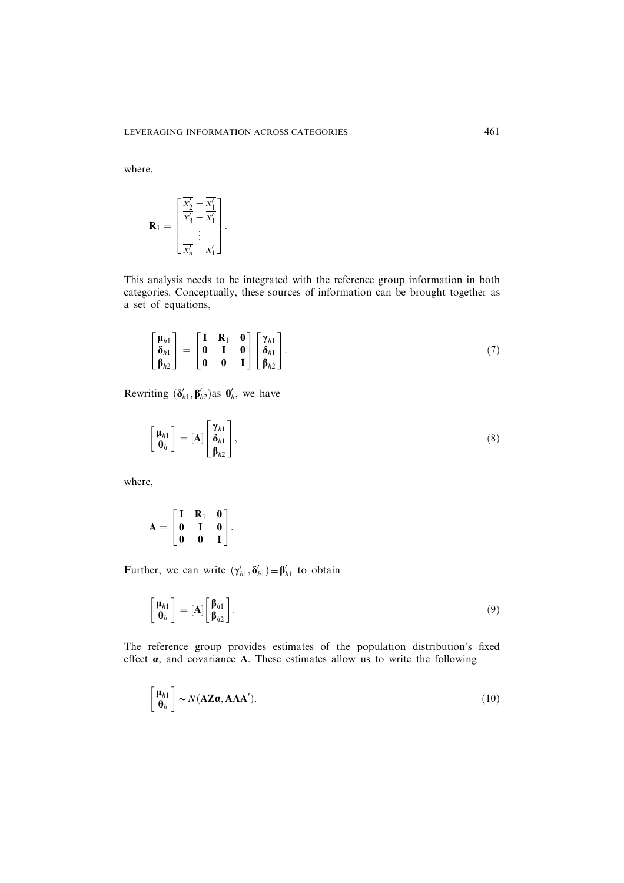where,

$$
\mathbf{R}_1 = \begin{bmatrix} \frac{\overline{x_2'} - \overline{x_1'}}{\overline{x_3'} - \overline{x_1'}} \\ \vdots \\ \frac{\overline{x_n'} - \overline{x_1'}}{\overline{x_1'} - \overline{x_1'}} \end{bmatrix}.
$$

This analysis needs to be integrated with the reference group information in both categories. Conceptually, these sources of information can be brought together as a set of equations,

$$
\begin{bmatrix} \mu_{h1} \\ \delta_{h1} \\ \beta_{h2} \end{bmatrix} = \begin{bmatrix} \mathbf{I} & \mathbf{R}_1 & \mathbf{0} \\ \mathbf{0} & \mathbf{I} & \mathbf{0} \\ \mathbf{0} & \mathbf{0} & \mathbf{I} \end{bmatrix} \begin{bmatrix} \gamma_{h1} \\ \delta_{h1} \\ \beta_{h2} \end{bmatrix} . \tag{7}
$$

Rewriting  $(\delta'_{h1}, \beta'_{h2})$ as  $\theta'_{h}$ , we have

$$
\begin{bmatrix} \mathbf{\mu}_{h1} \\ \mathbf{\theta}_h \end{bmatrix} = [\mathbf{A}] \begin{bmatrix} \gamma_{h1} \\ \mathbf{\delta}_{h1} \\ \mathbf{\beta}_{h2} \end{bmatrix},
$$
\n(8)

where,

$$
A = \begin{bmatrix} I & R_1 & 0 \\ 0 & I & 0 \\ 0 & 0 & I \end{bmatrix}.
$$

Further, we can write  $(\gamma'_{h1}, \delta'_{h1}) \equiv \beta'_{h1}$  to obtain

$$
\begin{bmatrix} \mathbf{\mu}_{h1} \\ \mathbf{\theta}_h \end{bmatrix} = [\mathbf{A}] \begin{bmatrix} \mathbf{\beta}_{h1} \\ \mathbf{\beta}_{h2} \end{bmatrix} .
$$
\n(9)

The reference group provides estimates of the population distribution's fixed effect  $\alpha$ , and covariance  $\Lambda$ . These estimates allow us to write the following

$$
\begin{bmatrix} \mathbf{\mu}_{h1} \\ \mathbf{\theta}_h \end{bmatrix} \sim N(\mathbf{A} \mathbf{Z} \mathbf{\alpha}, \mathbf{A} \mathbf{\Lambda} \mathbf{A}'). \tag{10}
$$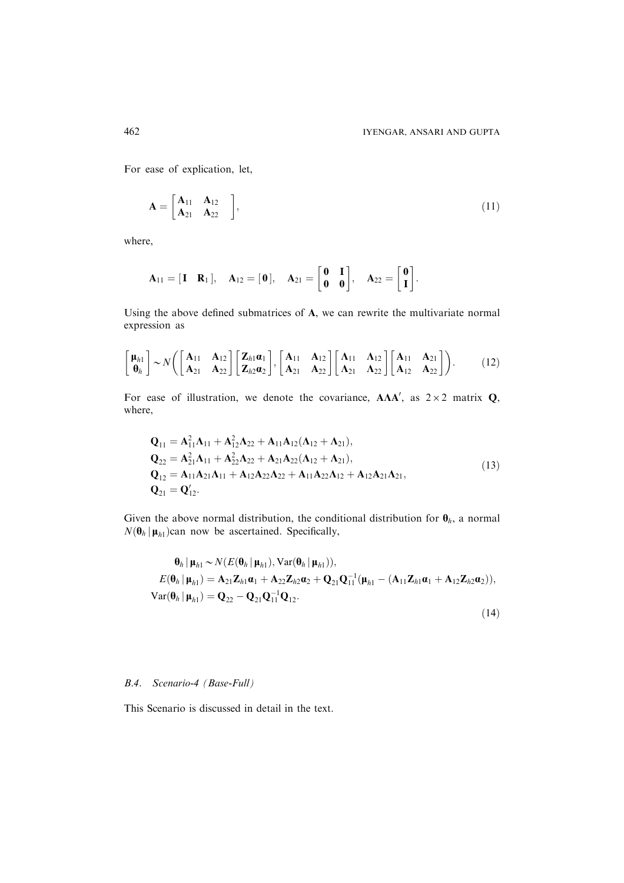For ease of explication, let,

$$
\mathbf{A} = \begin{bmatrix} \mathbf{A}_{11} & \mathbf{A}_{12} \\ \mathbf{A}_{21} & \mathbf{A}_{22} \end{bmatrix},
$$
(11)

where,

$$
\mathbf{A}_{11} = \begin{bmatrix} \mathbf{I} & \mathbf{R}_1 \end{bmatrix}, \quad \mathbf{A}_{12} = \begin{bmatrix} \mathbf{0} \end{bmatrix}, \quad \mathbf{A}_{21} = \begin{bmatrix} \mathbf{0} & \mathbf{I} \\ \mathbf{0} & \mathbf{0} \end{bmatrix}, \quad \mathbf{A}_{22} = \begin{bmatrix} \mathbf{0} \\ \mathbf{I} \end{bmatrix}.
$$

Using the above defined submatrices of A, we can rewrite the multivariate normal expression as

$$
\begin{bmatrix} \mathbf{\mu}_{h1} \\ \mathbf{\theta}_h \end{bmatrix} \sim N \left( \begin{bmatrix} \mathbf{A}_{11} & \mathbf{A}_{12} \\ \mathbf{A}_{21} & \mathbf{A}_{22} \end{bmatrix} \begin{bmatrix} \mathbf{Z}_{h1} \boldsymbol{\alpha}_1 \\ \mathbf{Z}_{h2} \boldsymbol{\alpha}_2 \end{bmatrix}, \begin{bmatrix} \mathbf{A}_{11} & \mathbf{A}_{12} \\ \mathbf{A}_{21} & \mathbf{A}_{22} \end{bmatrix} \begin{bmatrix} \mathbf{A}_{11} & \mathbf{A}_{21} \\ \mathbf{A}_{21} & \mathbf{A}_{22} \end{bmatrix} \begin{bmatrix} \mathbf{A}_{11} & \mathbf{A}_{21} \\ \mathbf{A}_{12} & \mathbf{A}_{22} \end{bmatrix} \right).
$$
 (12)

For ease of illustration, we denote the covariance,  $A\Lambda A'$ , as  $2\times 2$  matrix Q, where,

$$
Q_{11} = A_{11}^2 A_{11} + A_{12}^2 A_{22} + A_{11} A_{12} (A_{12} + A_{21}),
$$
  
\n
$$
Q_{22} = A_{21}^2 A_{11} + A_{22}^2 A_{22} + A_{21} A_{22} (A_{12} + A_{21}),
$$
  
\n
$$
Q_{12} = A_{11} A_{21} A_{11} + A_{12} A_{22} A_{22} + A_{11} A_{22} A_{12} + A_{12} A_{21} A_{21},
$$
  
\n
$$
Q_{21} = Q_{12}'.
$$
\n(13)

Given the above normal distribution, the conditional distribution for  $\theta_h$ , a normal  $N(\theta_h | \mu_{h1})$ can now be ascertained. Specifically,

$$
\mathbf{\theta}_{h} | \mathbf{\mu}_{h1} \sim N(E(\mathbf{\theta}_{h} | \mathbf{\mu}_{h1}), \text{Var}(\mathbf{\theta}_{h} | \mathbf{\mu}_{h1})),
$$
\n
$$
E(\mathbf{\theta}_{h} | \mathbf{\mu}_{h1}) = \mathbf{A}_{21} \mathbf{Z}_{h1} \mathbf{\alpha}_{1} + \mathbf{A}_{22} \mathbf{Z}_{h2} \mathbf{\alpha}_{2} + \mathbf{Q}_{21} \mathbf{Q}_{11}^{-1} (\mathbf{\mu}_{h1} - (\mathbf{A}_{11} \mathbf{Z}_{h1} \mathbf{\alpha}_{1} + \mathbf{A}_{12} \mathbf{Z}_{h2} \mathbf{\alpha}_{2})),
$$
\n
$$
\text{Var}(\mathbf{\theta}_{h} | \mathbf{\mu}_{h1}) = \mathbf{Q}_{22} - \mathbf{Q}_{21} \mathbf{Q}_{11}^{-1} \mathbf{Q}_{12}.
$$
\n(14)

# B.4. Scenario-4 (Base-Full)

This Scenario is discussed in detail in the text.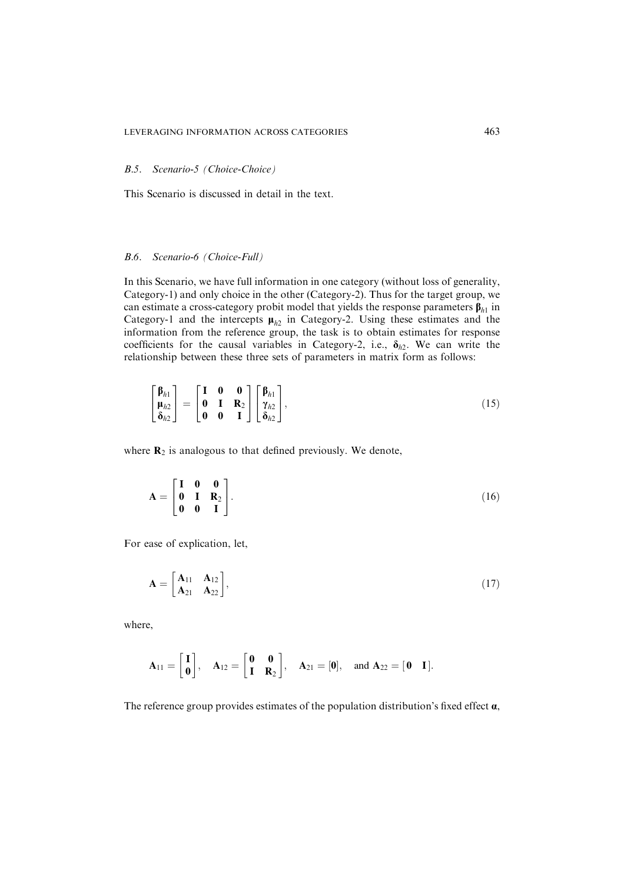## LEVERAGING INFORMATION ACROSS CATEGORIES 463

## B.5. Scenario-5 (Choice-Choice)

This Scenario is discussed in detail in the text.

## B.6. Scenario-6 (Choice-Full)

In this Scenario, we have full information in one category (without loss of generality, Category-1) and only choice in the other (Category-2). Thus for the target group, we can estimate a cross-category probit model that yields the response parameters  $\beta_{h1}$  in Category-1 and the intercepts  $\mu_{h2}$  in Category-2. Using these estimates and the information from the reference group, the task is to obtain estimates for response coefficients for the causal variables in Category-2, i.e.,  $\delta_{h2}$ . We can write the relationship between these three sets of parameters in matrix form as follows:

$$
\begin{bmatrix} \beta_{h1} \\ \mu_{h2} \\ \delta_{h2} \end{bmatrix} = \begin{bmatrix} \mathbf{I} & \mathbf{0} & \mathbf{0} \\ \mathbf{0} & \mathbf{I} & \mathbf{R}_2 \\ \mathbf{0} & \mathbf{0} & \mathbf{I} \end{bmatrix} \begin{bmatrix} \beta_{h1} \\ \gamma_{h2} \\ \delta_{h2} \end{bmatrix},
$$
\n(15)

where  $\mathbf{R}_2$  is analogous to that defined previously. We denote,

$$
\mathbf{A} = \begin{bmatrix} \mathbf{I} & \mathbf{0} & \mathbf{0} \\ \mathbf{0} & \mathbf{I} & \mathbf{R}_2 \\ \mathbf{0} & \mathbf{0} & \mathbf{I} \end{bmatrix} . \tag{16}
$$

For ease of explication, let,

$$
\mathbf{A} = \begin{bmatrix} \mathbf{A}_{11} & \mathbf{A}_{12} \\ \mathbf{A}_{21} & \mathbf{A}_{22} \end{bmatrix},\tag{17}
$$

where,

$$
\mathbf{A}_{11} = \begin{bmatrix} \mathbf{I} \\ \mathbf{0} \end{bmatrix}, \quad \mathbf{A}_{12} = \begin{bmatrix} \mathbf{0} & \mathbf{0} \\ \mathbf{I} & \mathbf{R}_2 \end{bmatrix}, \quad \mathbf{A}_{21} = [\mathbf{0}], \quad \text{and } \mathbf{A}_{22} = [\mathbf{0} \quad \mathbf{I}].
$$

The reference group provides estimates of the population distribution's fixed effect  $\alpha$ ,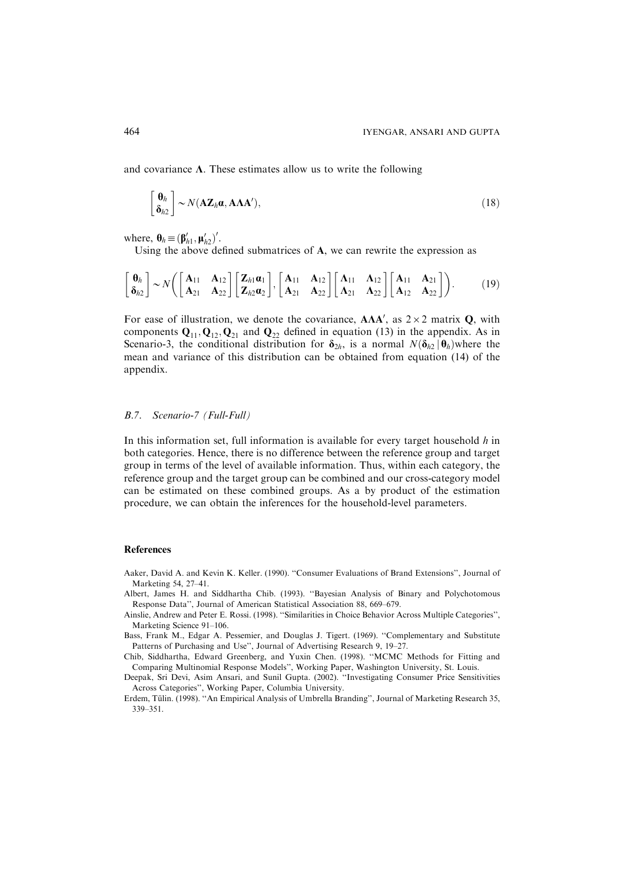and covariance  $\Lambda$ . These estimates allow us to write the following

$$
\begin{bmatrix} \boldsymbol{\theta}_h \\ \boldsymbol{\delta}_{h2} \end{bmatrix} \sim N(\mathbf{AZ}_h \boldsymbol{\alpha}, \mathbf{AAA}'),\tag{18}
$$

where,  $\mathbf{\theta}_h \equiv (\mathbf{\beta}_{h1}', \mathbf{\mu}_{h2}')'$ .

Using the above defined submatrices of A, we can rewrite the expression as

$$
\begin{bmatrix} \boldsymbol{\theta}_h \\ \boldsymbol{\delta}_{h2} \end{bmatrix} \sim N \left( \begin{bmatrix} \mathbf{A}_{11} & \mathbf{A}_{12} \\ \mathbf{A}_{21} & \mathbf{A}_{22} \end{bmatrix} \begin{bmatrix} \mathbf{Z}_{h1} \boldsymbol{\alpha}_1 \\ \mathbf{Z}_{h2} \boldsymbol{\alpha}_2 \end{bmatrix}, \begin{bmatrix} \mathbf{A}_{11} & \mathbf{A}_{12} \\ \mathbf{A}_{21} & \mathbf{A}_{22} \end{bmatrix} \begin{bmatrix} \mathbf{A}_{11} & \mathbf{A}_{12} \\ \mathbf{A}_{21} & \mathbf{A}_{22} \end{bmatrix} \begin{bmatrix} \mathbf{A}_{11} & \mathbf{A}_{21} \\ \mathbf{A}_{12} & \mathbf{A}_{22} \end{bmatrix} \right). \tag{19}
$$

For ease of illustration, we denote the covariance,  $A\Lambda A'$ , as  $2\times 2$  matrix Q, with components  $Q_{11}, Q_{12}, Q_{21}$  and  $Q_{22}$  defined in equation (13) in the appendix. As in Scenario-3, the conditional distribution for  $\delta_{2h}$ , is a normal  $N(\delta_{h2} | \theta_h)$  where the mean and variance of this distribution can be obtained from equation (14) of the appendix.

### B.7. Scenario-7 (Full-Full)

In this information set, full information is available for every target household  $h$  in both categories. Hence, there is no difference between the reference group and target group in terms of the level of available information. Thus, within each category, the reference group and the target group can be combined and our cross-category model can be estimated on these combined groups. As a by product of the estimation procedure, we can obtain the inferences for the household-level parameters.

#### References

- Aaker, David A. and Kevin K. Keller. (1990). ''Consumer Evaluations of Brand Extensions'', Journal of Marketing 54, 27–41.
- Albert, James H. and Siddhartha Chib. (1993). ''Bayesian Analysis of Binary and Polychotomous Response Data'', Journal of American Statistical Association 88, 669–679.
- Ainslie, Andrew and Peter E. Rossi. (1998). ''Similarities in Choice Behavior Across Multiple Categories'', Marketing Science 91–106.
- Bass, Frank M., Edgar A. Pessemier, and Douglas J. Tigert. (1969). ''Complementary and Substitute Patterns of Purchasing and Use'', Journal of Advertising Research 9, 19–27.
- Chib, Siddhartha, Edward Greenberg, and Yuxin Chen. (1998). ''MCMC Methods for Fitting and Comparing Multinomial Response Models'', Working Paper, Washington University, St. Louis.
- Deepak, Sri Devi, Asim Ansari, and Sunil Gupta. (2002). ''Investigating Consumer Price Sensitivities Across Categories'', Working Paper, Columbia University.
- Erdem, Tülin. (1998). "An Empirical Analysis of Umbrella Branding", Journal of Marketing Research 35, 339–351.